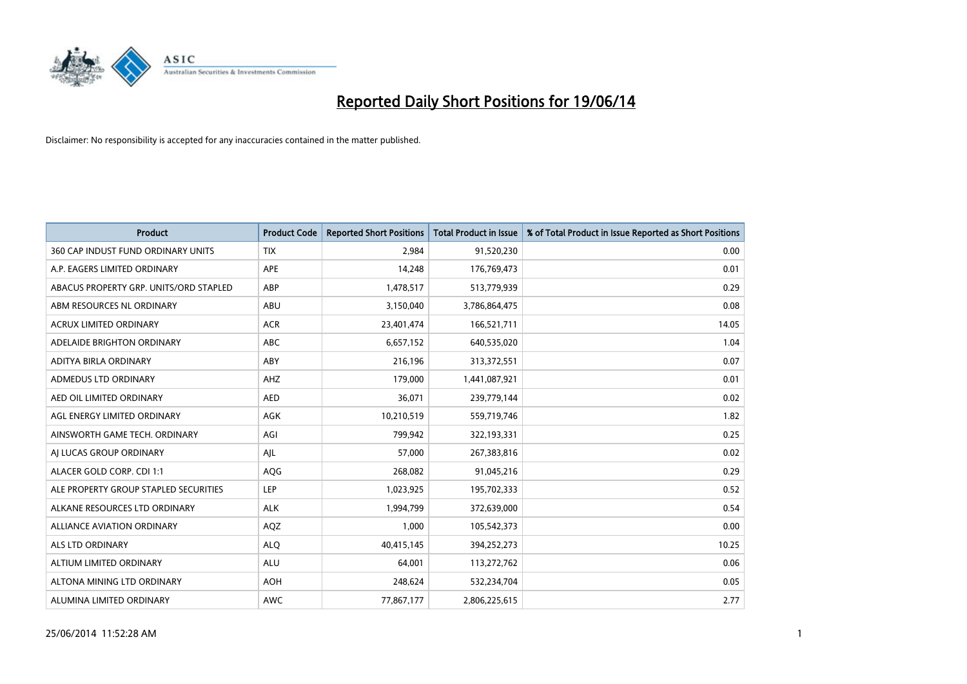

| <b>Product</b>                         | <b>Product Code</b> | <b>Reported Short Positions</b> | <b>Total Product in Issue</b> | % of Total Product in Issue Reported as Short Positions |
|----------------------------------------|---------------------|---------------------------------|-------------------------------|---------------------------------------------------------|
| 360 CAP INDUST FUND ORDINARY UNITS     | <b>TIX</b>          | 2,984                           | 91,520,230                    | 0.00                                                    |
| A.P. EAGERS LIMITED ORDINARY           | APE                 | 14,248                          | 176,769,473                   | 0.01                                                    |
| ABACUS PROPERTY GRP. UNITS/ORD STAPLED | ABP                 | 1,478,517                       | 513,779,939                   | 0.29                                                    |
| ABM RESOURCES NL ORDINARY              | ABU                 | 3,150,040                       | 3,786,864,475                 | 0.08                                                    |
| <b>ACRUX LIMITED ORDINARY</b>          | <b>ACR</b>          | 23,401,474                      | 166,521,711                   | 14.05                                                   |
| ADELAIDE BRIGHTON ORDINARY             | <b>ABC</b>          | 6,657,152                       | 640,535,020                   | 1.04                                                    |
| ADITYA BIRLA ORDINARY                  | ABY                 | 216,196                         | 313,372,551                   | 0.07                                                    |
| ADMEDUS LTD ORDINARY                   | AHZ                 | 179,000                         | 1,441,087,921                 | 0.01                                                    |
| AED OIL LIMITED ORDINARY               | <b>AED</b>          | 36,071                          | 239,779,144                   | 0.02                                                    |
| AGL ENERGY LIMITED ORDINARY            | <b>AGK</b>          | 10,210,519                      | 559,719,746                   | 1.82                                                    |
| AINSWORTH GAME TECH. ORDINARY          | AGI                 | 799,942                         | 322,193,331                   | 0.25                                                    |
| AI LUCAS GROUP ORDINARY                | AJL                 | 57,000                          | 267,383,816                   | 0.02                                                    |
| ALACER GOLD CORP. CDI 1:1              | AQG                 | 268,082                         | 91,045,216                    | 0.29                                                    |
| ALE PROPERTY GROUP STAPLED SECURITIES  | LEP                 | 1,023,925                       | 195,702,333                   | 0.52                                                    |
| ALKANE RESOURCES LTD ORDINARY          | <b>ALK</b>          | 1,994,799                       | 372,639,000                   | 0.54                                                    |
| ALLIANCE AVIATION ORDINARY             | AQZ                 | 1,000                           | 105,542,373                   | 0.00                                                    |
| ALS LTD ORDINARY                       | <b>ALQ</b>          | 40,415,145                      | 394,252,273                   | 10.25                                                   |
| ALTIUM LIMITED ORDINARY                | ALU                 | 64,001                          | 113,272,762                   | 0.06                                                    |
| ALTONA MINING LTD ORDINARY             | <b>AOH</b>          | 248,624                         | 532,234,704                   | 0.05                                                    |
| ALUMINA LIMITED ORDINARY               | <b>AWC</b>          | 77,867,177                      | 2,806,225,615                 | 2.77                                                    |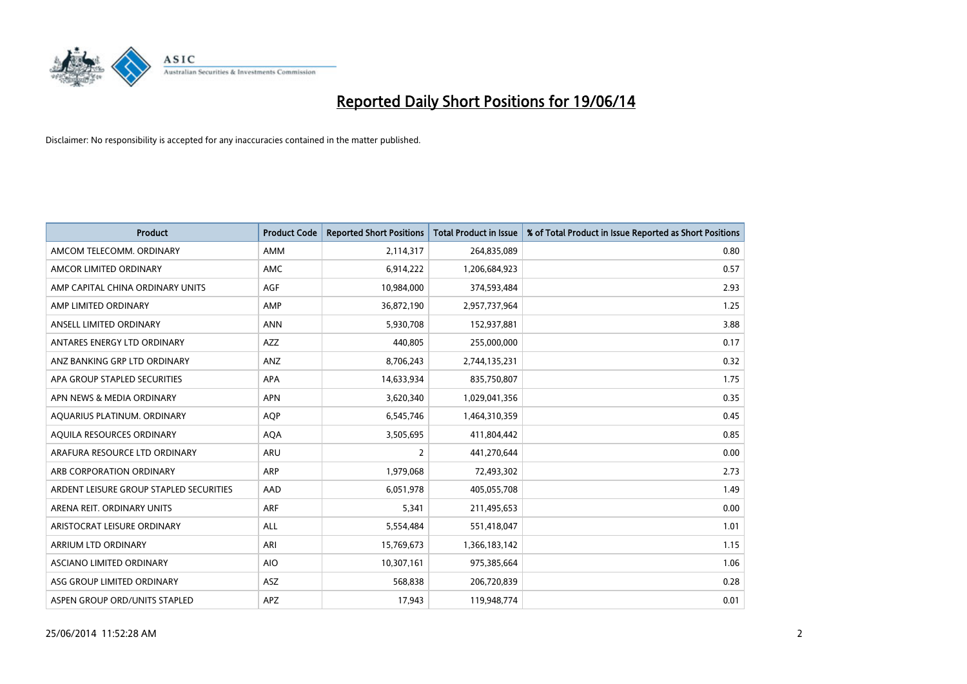

| <b>Product</b>                          | <b>Product Code</b> | <b>Reported Short Positions</b> | <b>Total Product in Issue</b> | % of Total Product in Issue Reported as Short Positions |
|-----------------------------------------|---------------------|---------------------------------|-------------------------------|---------------------------------------------------------|
| AMCOM TELECOMM, ORDINARY                | AMM                 | 2,114,317                       | 264,835,089                   | 0.80                                                    |
| AMCOR LIMITED ORDINARY                  | <b>AMC</b>          | 6,914,222                       | 1,206,684,923                 | 0.57                                                    |
| AMP CAPITAL CHINA ORDINARY UNITS        | AGF                 | 10,984,000                      | 374,593,484                   | 2.93                                                    |
| AMP LIMITED ORDINARY                    | AMP                 | 36,872,190                      | 2,957,737,964                 | 1.25                                                    |
| ANSELL LIMITED ORDINARY                 | <b>ANN</b>          | 5,930,708                       | 152,937,881                   | 3.88                                                    |
| ANTARES ENERGY LTD ORDINARY             | <b>AZZ</b>          | 440,805                         | 255,000,000                   | 0.17                                                    |
| ANZ BANKING GRP LTD ORDINARY            | ANZ                 | 8,706,243                       | 2,744,135,231                 | 0.32                                                    |
| APA GROUP STAPLED SECURITIES            | APA                 | 14,633,934                      | 835,750,807                   | 1.75                                                    |
| APN NEWS & MEDIA ORDINARY               | <b>APN</b>          | 3,620,340                       | 1,029,041,356                 | 0.35                                                    |
| AQUARIUS PLATINUM. ORDINARY             | <b>AOP</b>          | 6,545,746                       | 1,464,310,359                 | 0.45                                                    |
| AQUILA RESOURCES ORDINARY               | <b>AQA</b>          | 3,505,695                       | 411,804,442                   | 0.85                                                    |
| ARAFURA RESOURCE LTD ORDINARY           | ARU                 | $\overline{2}$                  | 441,270,644                   | 0.00                                                    |
| ARB CORPORATION ORDINARY                | <b>ARP</b>          | 1,979,068                       | 72,493,302                    | 2.73                                                    |
| ARDENT LEISURE GROUP STAPLED SECURITIES | AAD                 | 6,051,978                       | 405,055,708                   | 1.49                                                    |
| ARENA REIT. ORDINARY UNITS              | <b>ARF</b>          | 5,341                           | 211,495,653                   | 0.00                                                    |
| ARISTOCRAT LEISURE ORDINARY             | ALL                 | 5,554,484                       | 551,418,047                   | 1.01                                                    |
| ARRIUM LTD ORDINARY                     | ARI                 | 15,769,673                      | 1,366,183,142                 | 1.15                                                    |
| ASCIANO LIMITED ORDINARY                | <b>AIO</b>          | 10,307,161                      | 975,385,664                   | 1.06                                                    |
| ASG GROUP LIMITED ORDINARY              | ASZ                 | 568,838                         | 206,720,839                   | 0.28                                                    |
| ASPEN GROUP ORD/UNITS STAPLED           | APZ                 | 17,943                          | 119,948,774                   | 0.01                                                    |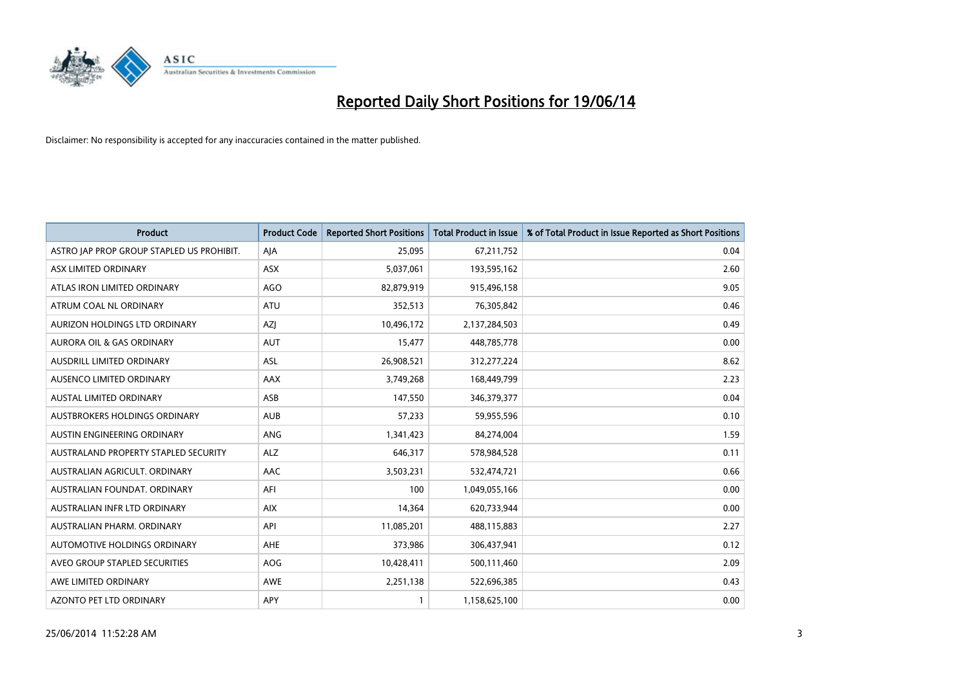

| <b>Product</b>                            | <b>Product Code</b> | <b>Reported Short Positions</b> | <b>Total Product in Issue</b> | % of Total Product in Issue Reported as Short Positions |
|-------------------------------------------|---------------------|---------------------------------|-------------------------------|---------------------------------------------------------|
| ASTRO JAP PROP GROUP STAPLED US PROHIBIT. | AJA                 | 25,095                          | 67,211,752                    | 0.04                                                    |
| ASX LIMITED ORDINARY                      | ASX                 | 5,037,061                       | 193,595,162                   | 2.60                                                    |
| ATLAS IRON LIMITED ORDINARY               | <b>AGO</b>          | 82,879,919                      | 915,496,158                   | 9.05                                                    |
| ATRUM COAL NL ORDINARY                    | <b>ATU</b>          | 352,513                         | 76,305,842                    | 0.46                                                    |
| AURIZON HOLDINGS LTD ORDINARY             | AZJ                 | 10,496,172                      | 2,137,284,503                 | 0.49                                                    |
| AURORA OIL & GAS ORDINARY                 | <b>AUT</b>          | 15,477                          | 448,785,778                   | 0.00                                                    |
| AUSDRILL LIMITED ORDINARY                 | <b>ASL</b>          | 26,908,521                      | 312,277,224                   | 8.62                                                    |
| AUSENCO LIMITED ORDINARY                  | AAX                 | 3,749,268                       | 168,449,799                   | 2.23                                                    |
| AUSTAL LIMITED ORDINARY                   | ASB                 | 147,550                         | 346,379,377                   | 0.04                                                    |
| AUSTBROKERS HOLDINGS ORDINARY             | <b>AUB</b>          | 57,233                          | 59,955,596                    | 0.10                                                    |
| AUSTIN ENGINEERING ORDINARY               | ANG                 | 1,341,423                       | 84,274,004                    | 1.59                                                    |
| AUSTRALAND PROPERTY STAPLED SECURITY      | <b>ALZ</b>          | 646,317                         | 578,984,528                   | 0.11                                                    |
| AUSTRALIAN AGRICULT. ORDINARY             | AAC                 | 3,503,231                       | 532,474,721                   | 0.66                                                    |
| AUSTRALIAN FOUNDAT, ORDINARY              | AFI                 | 100                             | 1,049,055,166                 | 0.00                                                    |
| AUSTRALIAN INFR LTD ORDINARY              | <b>AIX</b>          | 14,364                          | 620,733,944                   | 0.00                                                    |
| AUSTRALIAN PHARM, ORDINARY                | API                 | 11,085,201                      | 488,115,883                   | 2.27                                                    |
| AUTOMOTIVE HOLDINGS ORDINARY              | AHE                 | 373,986                         | 306,437,941                   | 0.12                                                    |
| AVEO GROUP STAPLED SECURITIES             | <b>AOG</b>          | 10,428,411                      | 500,111,460                   | 2.09                                                    |
| AWE LIMITED ORDINARY                      | <b>AWE</b>          | 2,251,138                       | 522,696,385                   | 0.43                                                    |
| AZONTO PET LTD ORDINARY                   | APY                 | 1                               | 1,158,625,100                 | 0.00                                                    |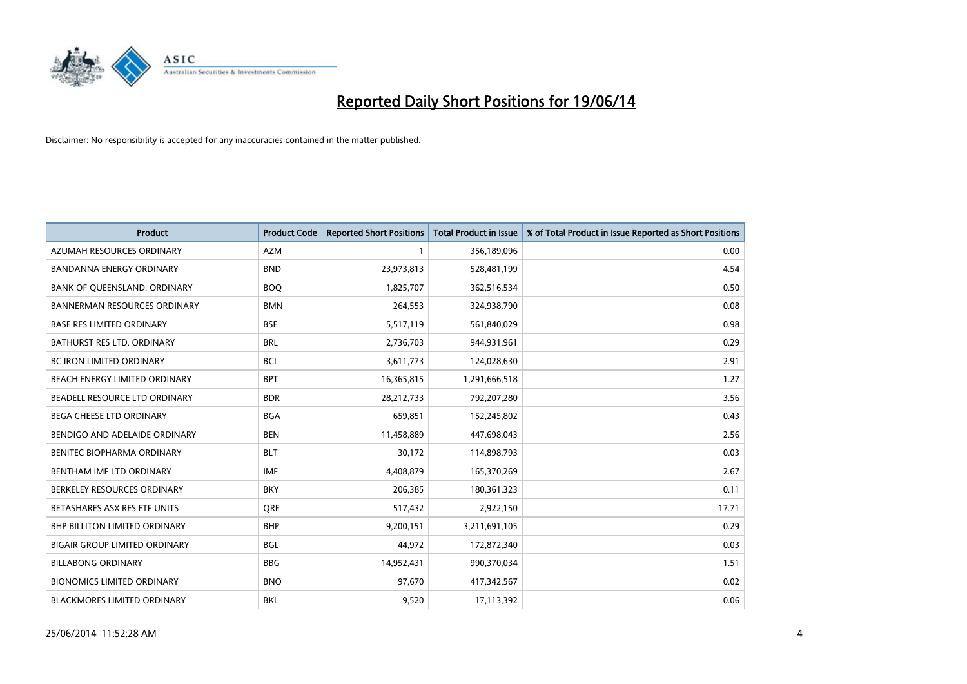

| <b>Product</b>                       | <b>Product Code</b> | <b>Reported Short Positions</b> | <b>Total Product in Issue</b> | % of Total Product in Issue Reported as Short Positions |
|--------------------------------------|---------------------|---------------------------------|-------------------------------|---------------------------------------------------------|
| AZUMAH RESOURCES ORDINARY            | <b>AZM</b>          | 1                               | 356,189,096                   | 0.00                                                    |
| <b>BANDANNA ENERGY ORDINARY</b>      | <b>BND</b>          | 23,973,813                      | 528,481,199                   | 4.54                                                    |
| BANK OF QUEENSLAND. ORDINARY         | <b>BOQ</b>          | 1,825,707                       | 362,516,534                   | 0.50                                                    |
| <b>BANNERMAN RESOURCES ORDINARY</b>  | <b>BMN</b>          | 264,553                         | 324,938,790                   | 0.08                                                    |
| <b>BASE RES LIMITED ORDINARY</b>     | <b>BSE</b>          | 5,517,119                       | 561,840,029                   | 0.98                                                    |
| BATHURST RES LTD. ORDINARY           | <b>BRL</b>          | 2,736,703                       | 944,931,961                   | 0.29                                                    |
| BC IRON LIMITED ORDINARY             | <b>BCI</b>          | 3,611,773                       | 124,028,630                   | 2.91                                                    |
| BEACH ENERGY LIMITED ORDINARY        | <b>BPT</b>          | 16,365,815                      | 1,291,666,518                 | 1.27                                                    |
| BEADELL RESOURCE LTD ORDINARY        | <b>BDR</b>          | 28,212,733                      | 792,207,280                   | 3.56                                                    |
| <b>BEGA CHEESE LTD ORDINARY</b>      | <b>BGA</b>          | 659,851                         | 152,245,802                   | 0.43                                                    |
| BENDIGO AND ADELAIDE ORDINARY        | <b>BEN</b>          | 11,458,889                      | 447,698,043                   | 2.56                                                    |
| BENITEC BIOPHARMA ORDINARY           | <b>BLT</b>          | 30,172                          | 114,898,793                   | 0.03                                                    |
| BENTHAM IMF LTD ORDINARY             | <b>IMF</b>          | 4,408,879                       | 165,370,269                   | 2.67                                                    |
| BERKELEY RESOURCES ORDINARY          | <b>BKY</b>          | 206,385                         | 180,361,323                   | 0.11                                                    |
| BETASHARES ASX RES ETF UNITS         | <b>ORE</b>          | 517,432                         | 2,922,150                     | 17.71                                                   |
| <b>BHP BILLITON LIMITED ORDINARY</b> | <b>BHP</b>          | 9,200,151                       | 3,211,691,105                 | 0.29                                                    |
| <b>BIGAIR GROUP LIMITED ORDINARY</b> | <b>BGL</b>          | 44,972                          | 172,872,340                   | 0.03                                                    |
| <b>BILLABONG ORDINARY</b>            | <b>BBG</b>          | 14,952,431                      | 990,370,034                   | 1.51                                                    |
| <b>BIONOMICS LIMITED ORDINARY</b>    | <b>BNO</b>          | 97,670                          | 417,342,567                   | 0.02                                                    |
| <b>BLACKMORES LIMITED ORDINARY</b>   | <b>BKL</b>          | 9,520                           | 17,113,392                    | 0.06                                                    |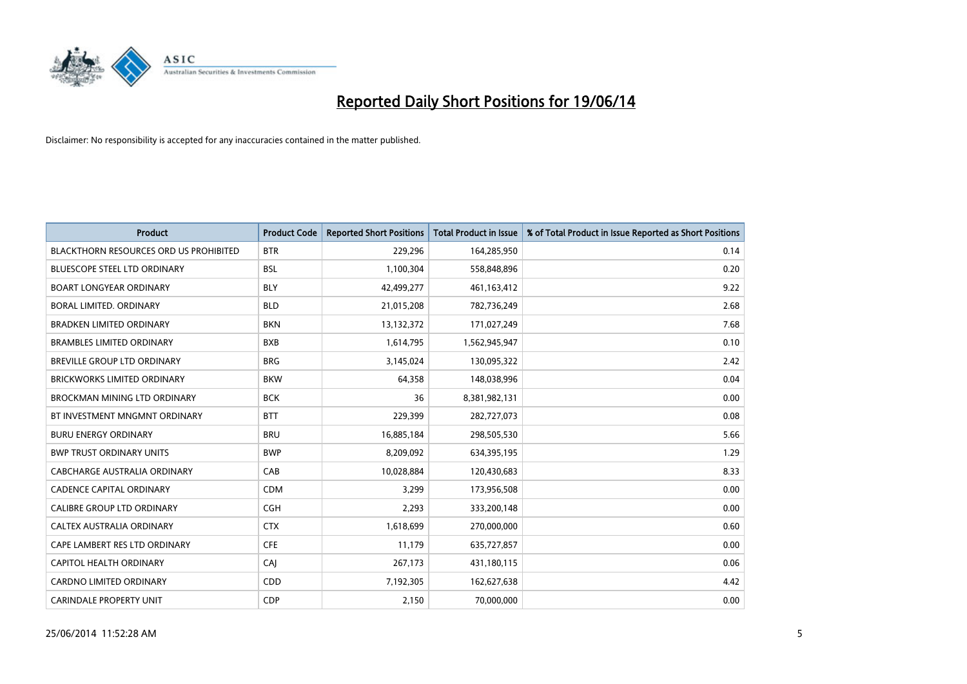

| <b>Product</b>                                | <b>Product Code</b> | <b>Reported Short Positions</b> | <b>Total Product in Issue</b> | % of Total Product in Issue Reported as Short Positions |
|-----------------------------------------------|---------------------|---------------------------------|-------------------------------|---------------------------------------------------------|
| <b>BLACKTHORN RESOURCES ORD US PROHIBITED</b> | <b>BTR</b>          | 229,296                         | 164,285,950                   | 0.14                                                    |
| <b>BLUESCOPE STEEL LTD ORDINARY</b>           | <b>BSL</b>          | 1,100,304                       | 558,848,896                   | 0.20                                                    |
| <b>BOART LONGYEAR ORDINARY</b>                | <b>BLY</b>          | 42,499,277                      | 461,163,412                   | 9.22                                                    |
| BORAL LIMITED. ORDINARY                       | <b>BLD</b>          | 21,015,208                      | 782,736,249                   | 2.68                                                    |
| <b>BRADKEN LIMITED ORDINARY</b>               | <b>BKN</b>          | 13,132,372                      | 171,027,249                   | 7.68                                                    |
| <b>BRAMBLES LIMITED ORDINARY</b>              | <b>BXB</b>          | 1,614,795                       | 1,562,945,947                 | 0.10                                                    |
| BREVILLE GROUP LTD ORDINARY                   | <b>BRG</b>          | 3,145,024                       | 130,095,322                   | 2.42                                                    |
| <b>BRICKWORKS LIMITED ORDINARY</b>            | <b>BKW</b>          | 64,358                          | 148,038,996                   | 0.04                                                    |
| <b>BROCKMAN MINING LTD ORDINARY</b>           | <b>BCK</b>          | 36                              | 8,381,982,131                 | 0.00                                                    |
| BT INVESTMENT MNGMNT ORDINARY                 | <b>BTT</b>          | 229,399                         | 282,727,073                   | 0.08                                                    |
| <b>BURU ENERGY ORDINARY</b>                   | <b>BRU</b>          | 16,885,184                      | 298,505,530                   | 5.66                                                    |
| <b>BWP TRUST ORDINARY UNITS</b>               | <b>BWP</b>          | 8,209,092                       | 634,395,195                   | 1.29                                                    |
| <b>CABCHARGE AUSTRALIA ORDINARY</b>           | CAB                 | 10,028,884                      | 120,430,683                   | 8.33                                                    |
| <b>CADENCE CAPITAL ORDINARY</b>               | <b>CDM</b>          | 3,299                           | 173,956,508                   | 0.00                                                    |
| <b>CALIBRE GROUP LTD ORDINARY</b>             | <b>CGH</b>          | 2,293                           | 333,200,148                   | 0.00                                                    |
| CALTEX AUSTRALIA ORDINARY                     | <b>CTX</b>          | 1,618,699                       | 270,000,000                   | 0.60                                                    |
| CAPE LAMBERT RES LTD ORDINARY                 | <b>CFE</b>          | 11,179                          | 635,727,857                   | 0.00                                                    |
| CAPITOL HEALTH ORDINARY                       | CAJ                 | 267,173                         | 431,180,115                   | 0.06                                                    |
| <b>CARDNO LIMITED ORDINARY</b>                | CDD                 | 7,192,305                       | 162,627,638                   | 4.42                                                    |
| <b>CARINDALE PROPERTY UNIT</b>                | <b>CDP</b>          | 2,150                           | 70,000,000                    | 0.00                                                    |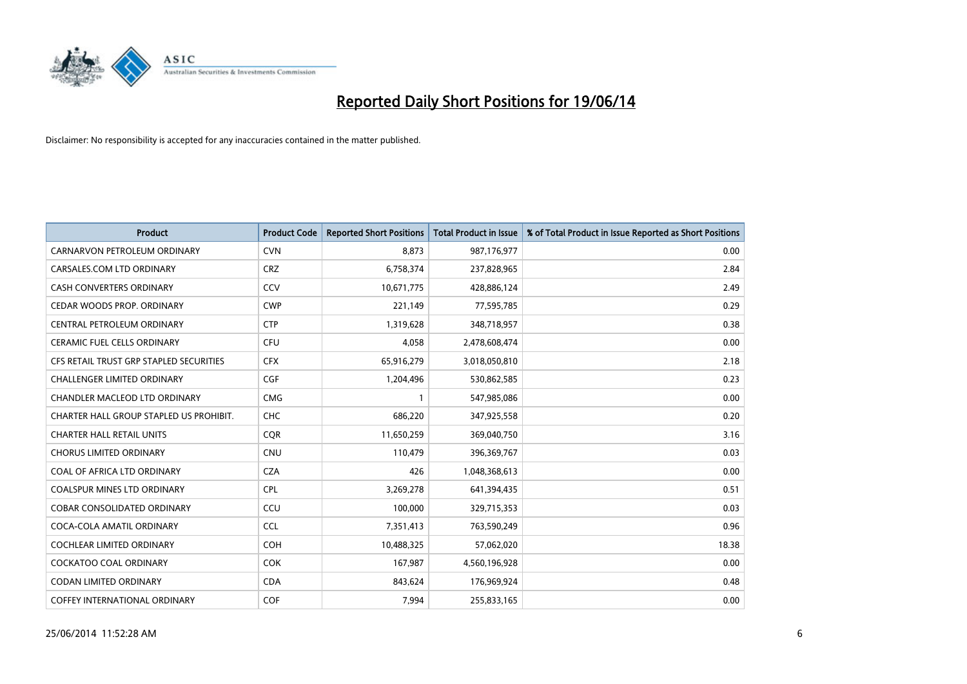

| <b>Product</b>                          | <b>Product Code</b> | <b>Reported Short Positions</b> | <b>Total Product in Issue</b> | % of Total Product in Issue Reported as Short Positions |
|-----------------------------------------|---------------------|---------------------------------|-------------------------------|---------------------------------------------------------|
| CARNARVON PETROLEUM ORDINARY            | <b>CVN</b>          | 8.873                           | 987,176,977                   | 0.00                                                    |
| CARSALES.COM LTD ORDINARY               | <b>CRZ</b>          | 6,758,374                       | 237,828,965                   | 2.84                                                    |
| <b>CASH CONVERTERS ORDINARY</b>         | CCV                 | 10,671,775                      | 428,886,124                   | 2.49                                                    |
| CEDAR WOODS PROP. ORDINARY              | <b>CWP</b>          | 221,149                         | 77,595,785                    | 0.29                                                    |
| CENTRAL PETROLEUM ORDINARY              | <b>CTP</b>          | 1,319,628                       | 348,718,957                   | 0.38                                                    |
| <b>CERAMIC FUEL CELLS ORDINARY</b>      | <b>CFU</b>          | 4,058                           | 2,478,608,474                 | 0.00                                                    |
| CFS RETAIL TRUST GRP STAPLED SECURITIES | <b>CFX</b>          | 65,916,279                      | 3,018,050,810                 | 2.18                                                    |
| <b>CHALLENGER LIMITED ORDINARY</b>      | <b>CGF</b>          | 1,204,496                       | 530,862,585                   | 0.23                                                    |
| CHANDLER MACLEOD LTD ORDINARY           | <b>CMG</b>          | 1                               | 547,985,086                   | 0.00                                                    |
| CHARTER HALL GROUP STAPLED US PROHIBIT. | <b>CHC</b>          | 686,220                         | 347,925,558                   | 0.20                                                    |
| <b>CHARTER HALL RETAIL UNITS</b>        | <b>CQR</b>          | 11,650,259                      | 369,040,750                   | 3.16                                                    |
| <b>CHORUS LIMITED ORDINARY</b>          | <b>CNU</b>          | 110,479                         | 396,369,767                   | 0.03                                                    |
| COAL OF AFRICA LTD ORDINARY             | <b>CZA</b>          | 426                             | 1,048,368,613                 | 0.00                                                    |
| <b>COALSPUR MINES LTD ORDINARY</b>      | <b>CPL</b>          | 3,269,278                       | 641,394,435                   | 0.51                                                    |
| <b>COBAR CONSOLIDATED ORDINARY</b>      | CCU                 | 100,000                         | 329,715,353                   | 0.03                                                    |
| COCA-COLA AMATIL ORDINARY               | <b>CCL</b>          | 7,351,413                       | 763,590,249                   | 0.96                                                    |
| COCHLEAR LIMITED ORDINARY               | <b>COH</b>          | 10,488,325                      | 57,062,020                    | 18.38                                                   |
| <b>COCKATOO COAL ORDINARY</b>           | <b>COK</b>          | 167,987                         | 4,560,196,928                 | 0.00                                                    |
| <b>CODAN LIMITED ORDINARY</b>           | <b>CDA</b>          | 843,624                         | 176,969,924                   | 0.48                                                    |
| COFFEY INTERNATIONAL ORDINARY           | <b>COF</b>          | 7,994                           | 255,833,165                   | 0.00                                                    |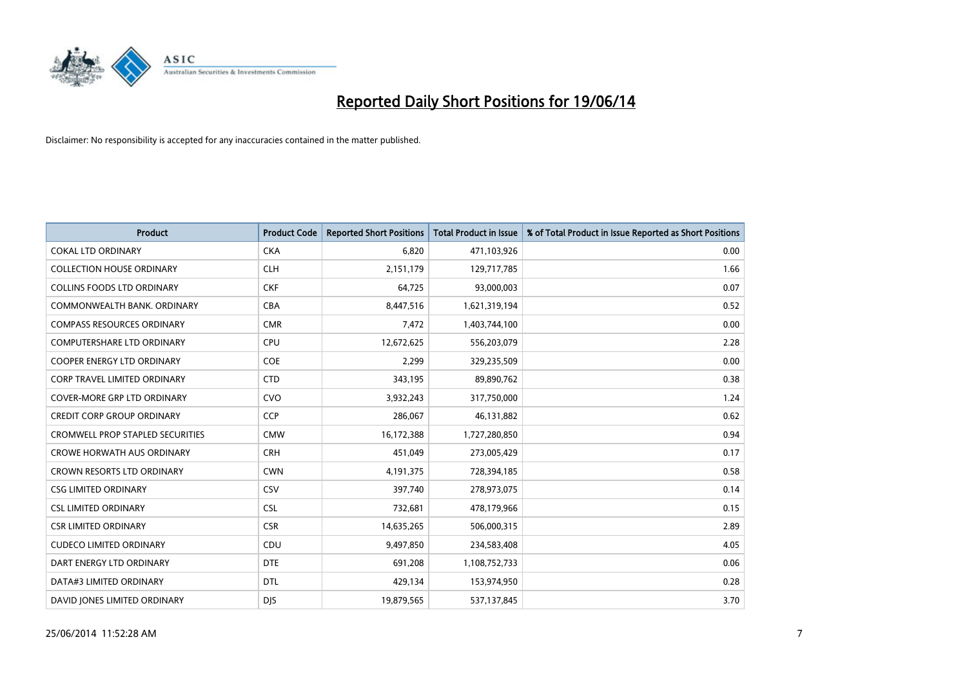

| <b>Product</b>                          | <b>Product Code</b> | <b>Reported Short Positions</b> | <b>Total Product in Issue</b> | % of Total Product in Issue Reported as Short Positions |
|-----------------------------------------|---------------------|---------------------------------|-------------------------------|---------------------------------------------------------|
| <b>COKAL LTD ORDINARY</b>               | <b>CKA</b>          | 6,820                           | 471,103,926                   | 0.00                                                    |
| <b>COLLECTION HOUSE ORDINARY</b>        | <b>CLH</b>          | 2,151,179                       | 129,717,785                   | 1.66                                                    |
| <b>COLLINS FOODS LTD ORDINARY</b>       | <b>CKF</b>          | 64,725                          | 93,000,003                    | 0.07                                                    |
| COMMONWEALTH BANK, ORDINARY             | <b>CBA</b>          | 8,447,516                       | 1,621,319,194                 | 0.52                                                    |
| <b>COMPASS RESOURCES ORDINARY</b>       | <b>CMR</b>          | 7,472                           | 1,403,744,100                 | 0.00                                                    |
| <b>COMPUTERSHARE LTD ORDINARY</b>       | <b>CPU</b>          | 12,672,625                      | 556,203,079                   | 2.28                                                    |
| <b>COOPER ENERGY LTD ORDINARY</b>       | <b>COE</b>          | 2,299                           | 329,235,509                   | 0.00                                                    |
| CORP TRAVEL LIMITED ORDINARY            | <b>CTD</b>          | 343,195                         | 89,890,762                    | 0.38                                                    |
| <b>COVER-MORE GRP LTD ORDINARY</b>      | <b>CVO</b>          | 3,932,243                       | 317,750,000                   | 1.24                                                    |
| <b>CREDIT CORP GROUP ORDINARY</b>       | <b>CCP</b>          | 286,067                         | 46,131,882                    | 0.62                                                    |
| <b>CROMWELL PROP STAPLED SECURITIES</b> | <b>CMW</b>          | 16,172,388                      | 1,727,280,850                 | 0.94                                                    |
| <b>CROWE HORWATH AUS ORDINARY</b>       | <b>CRH</b>          | 451,049                         | 273,005,429                   | 0.17                                                    |
| CROWN RESORTS LTD ORDINARY              | <b>CWN</b>          | 4,191,375                       | 728,394,185                   | 0.58                                                    |
| <b>CSG LIMITED ORDINARY</b>             | <b>CSV</b>          | 397,740                         | 278,973,075                   | 0.14                                                    |
| <b>CSL LIMITED ORDINARY</b>             | <b>CSL</b>          | 732,681                         | 478,179,966                   | 0.15                                                    |
| <b>CSR LIMITED ORDINARY</b>             | <b>CSR</b>          | 14,635,265                      | 506,000,315                   | 2.89                                                    |
| <b>CUDECO LIMITED ORDINARY</b>          | CDU                 | 9,497,850                       | 234,583,408                   | 4.05                                                    |
| DART ENERGY LTD ORDINARY                | <b>DTE</b>          | 691,208                         | 1,108,752,733                 | 0.06                                                    |
| DATA#3 LIMITED ORDINARY                 | <b>DTL</b>          | 429,134                         | 153,974,950                   | 0.28                                                    |
| DAVID JONES LIMITED ORDINARY            | <b>DJS</b>          | 19,879,565                      | 537,137,845                   | 3.70                                                    |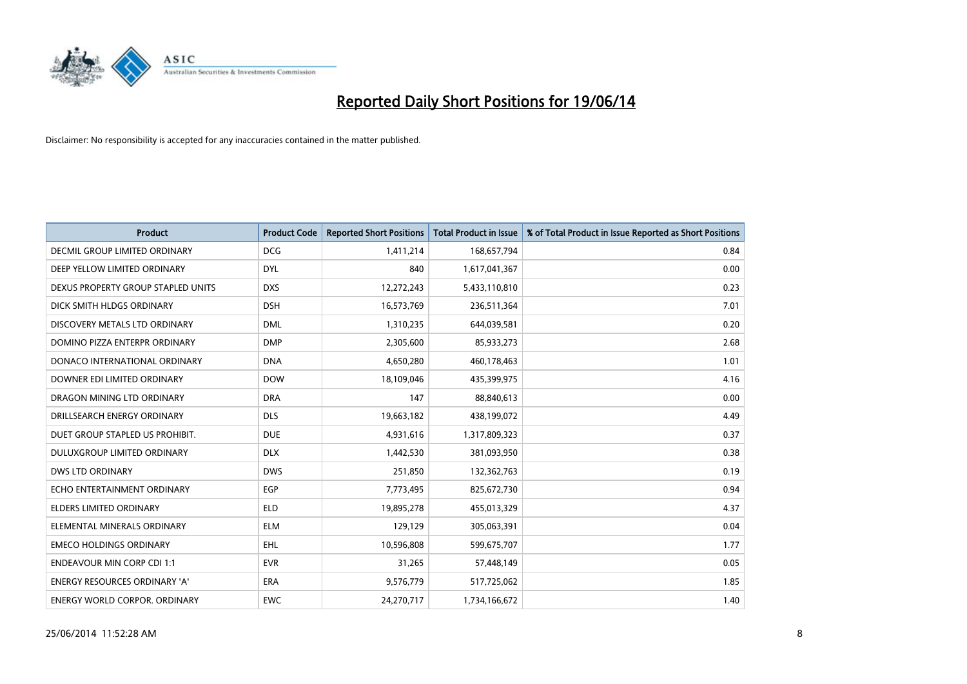

| <b>Product</b>                       | <b>Product Code</b> | <b>Reported Short Positions</b> | <b>Total Product in Issue</b> | % of Total Product in Issue Reported as Short Positions |
|--------------------------------------|---------------------|---------------------------------|-------------------------------|---------------------------------------------------------|
| DECMIL GROUP LIMITED ORDINARY        | <b>DCG</b>          | 1,411,214                       | 168,657,794                   | 0.84                                                    |
| DEEP YELLOW LIMITED ORDINARY         | <b>DYL</b>          | 840                             | 1,617,041,367                 | 0.00                                                    |
| DEXUS PROPERTY GROUP STAPLED UNITS   | <b>DXS</b>          | 12,272,243                      | 5,433,110,810                 | 0.23                                                    |
| DICK SMITH HLDGS ORDINARY            | <b>DSH</b>          | 16,573,769                      | 236,511,364                   | 7.01                                                    |
| DISCOVERY METALS LTD ORDINARY        | <b>DML</b>          | 1,310,235                       | 644,039,581                   | 0.20                                                    |
| DOMINO PIZZA ENTERPR ORDINARY        | <b>DMP</b>          | 2,305,600                       | 85,933,273                    | 2.68                                                    |
| DONACO INTERNATIONAL ORDINARY        | <b>DNA</b>          | 4,650,280                       | 460,178,463                   | 1.01                                                    |
| DOWNER EDI LIMITED ORDINARY          | <b>DOW</b>          | 18,109,046                      | 435,399,975                   | 4.16                                                    |
| DRAGON MINING LTD ORDINARY           | <b>DRA</b>          | 147                             | 88,840,613                    | 0.00                                                    |
| DRILLSEARCH ENERGY ORDINARY          | <b>DLS</b>          | 19,663,182                      | 438,199,072                   | 4.49                                                    |
| DUET GROUP STAPLED US PROHIBIT.      | <b>DUE</b>          | 4,931,616                       | 1,317,809,323                 | 0.37                                                    |
| <b>DULUXGROUP LIMITED ORDINARY</b>   | <b>DLX</b>          | 1,442,530                       | 381,093,950                   | 0.38                                                    |
| <b>DWS LTD ORDINARY</b>              | <b>DWS</b>          | 251,850                         | 132,362,763                   | 0.19                                                    |
| ECHO ENTERTAINMENT ORDINARY          | <b>EGP</b>          | 7,773,495                       | 825,672,730                   | 0.94                                                    |
| <b>ELDERS LIMITED ORDINARY</b>       | <b>ELD</b>          | 19,895,278                      | 455,013,329                   | 4.37                                                    |
| ELEMENTAL MINERALS ORDINARY          | <b>ELM</b>          | 129,129                         | 305,063,391                   | 0.04                                                    |
| <b>EMECO HOLDINGS ORDINARY</b>       | <b>EHL</b>          | 10,596,808                      | 599,675,707                   | 1.77                                                    |
| <b>ENDEAVOUR MIN CORP CDI 1:1</b>    | <b>EVR</b>          | 31,265                          | 57,448,149                    | 0.05                                                    |
| <b>ENERGY RESOURCES ORDINARY 'A'</b> | <b>ERA</b>          | 9,576,779                       | 517,725,062                   | 1.85                                                    |
| <b>ENERGY WORLD CORPOR. ORDINARY</b> | <b>EWC</b>          | 24,270,717                      | 1,734,166,672                 | 1.40                                                    |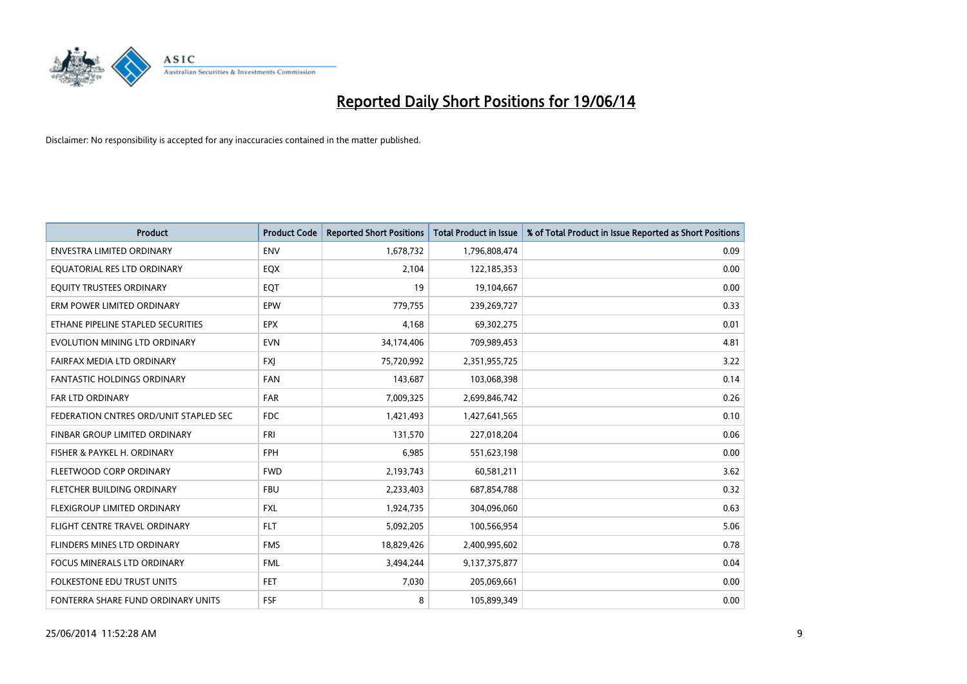

| <b>Product</b>                         | <b>Product Code</b> | <b>Reported Short Positions</b> | <b>Total Product in Issue</b> | % of Total Product in Issue Reported as Short Positions |
|----------------------------------------|---------------------|---------------------------------|-------------------------------|---------------------------------------------------------|
| <b>ENVESTRA LIMITED ORDINARY</b>       | <b>ENV</b>          | 1,678,732                       | 1,796,808,474                 | 0.09                                                    |
| EQUATORIAL RES LTD ORDINARY            | EQX                 | 2,104                           | 122,185,353                   | 0.00                                                    |
| EQUITY TRUSTEES ORDINARY               | EQT                 | 19                              | 19,104,667                    | 0.00                                                    |
| ERM POWER LIMITED ORDINARY             | EPW                 | 779,755                         | 239,269,727                   | 0.33                                                    |
| ETHANE PIPELINE STAPLED SECURITIES     | <b>EPX</b>          | 4,168                           | 69,302,275                    | 0.01                                                    |
| EVOLUTION MINING LTD ORDINARY          | <b>EVN</b>          | 34,174,406                      | 709,989,453                   | 4.81                                                    |
| FAIRFAX MEDIA LTD ORDINARY             | <b>FXI</b>          | 75,720,992                      | 2,351,955,725                 | 3.22                                                    |
| FANTASTIC HOLDINGS ORDINARY            | <b>FAN</b>          | 143,687                         | 103,068,398                   | 0.14                                                    |
| <b>FAR LTD ORDINARY</b>                | <b>FAR</b>          | 7,009,325                       | 2,699,846,742                 | 0.26                                                    |
| FEDERATION CNTRES ORD/UNIT STAPLED SEC | FDC                 | 1,421,493                       | 1,427,641,565                 | 0.10                                                    |
| FINBAR GROUP LIMITED ORDINARY          | FRI                 | 131,570                         | 227,018,204                   | 0.06                                                    |
| FISHER & PAYKEL H. ORDINARY            | <b>FPH</b>          | 6,985                           | 551,623,198                   | 0.00                                                    |
| FLEETWOOD CORP ORDINARY                | <b>FWD</b>          | 2,193,743                       | 60,581,211                    | 3.62                                                    |
| FLETCHER BUILDING ORDINARY             | <b>FBU</b>          | 2,233,403                       | 687,854,788                   | 0.32                                                    |
| FLEXIGROUP LIMITED ORDINARY            | <b>FXL</b>          | 1,924,735                       | 304,096,060                   | 0.63                                                    |
| FLIGHT CENTRE TRAVEL ORDINARY          | <b>FLT</b>          | 5,092,205                       | 100,566,954                   | 5.06                                                    |
| FLINDERS MINES LTD ORDINARY            | <b>FMS</b>          | 18,829,426                      | 2,400,995,602                 | 0.78                                                    |
| FOCUS MINERALS LTD ORDINARY            | <b>FML</b>          | 3,494,244                       | 9,137,375,877                 | 0.04                                                    |
| <b>FOLKESTONE EDU TRUST UNITS</b>      | <b>FET</b>          | 7,030                           | 205,069,661                   | 0.00                                                    |
| FONTERRA SHARE FUND ORDINARY UNITS     | <b>FSF</b>          | 8                               | 105,899,349                   | 0.00                                                    |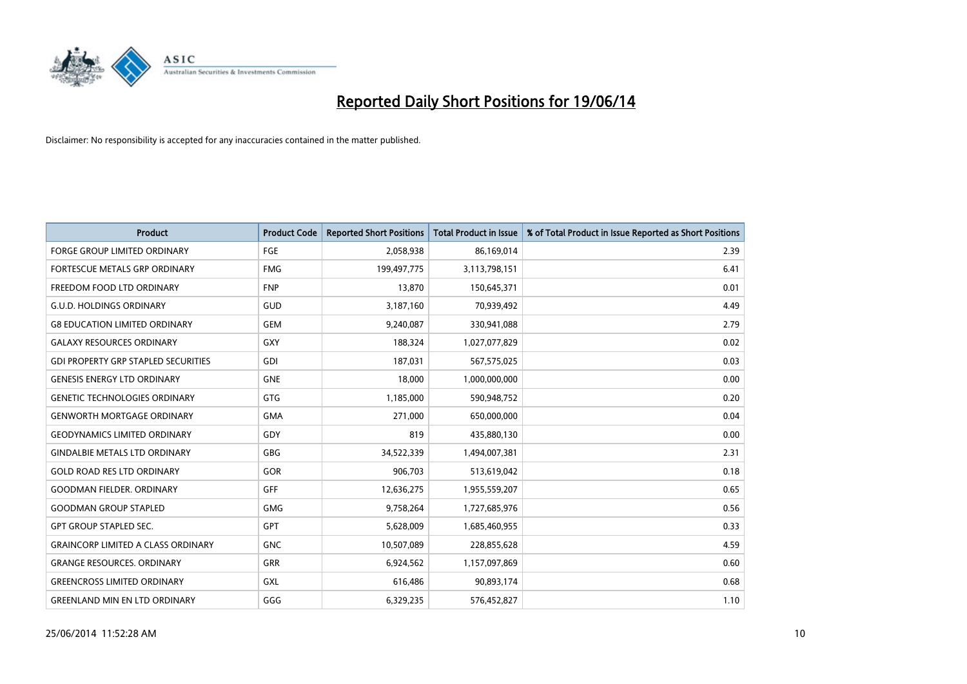

| <b>Product</b>                             | <b>Product Code</b> | <b>Reported Short Positions</b> | <b>Total Product in Issue</b> | % of Total Product in Issue Reported as Short Positions |
|--------------------------------------------|---------------------|---------------------------------|-------------------------------|---------------------------------------------------------|
| <b>FORGE GROUP LIMITED ORDINARY</b>        | FGE                 | 2,058,938                       | 86,169,014                    | 2.39                                                    |
| FORTESCUE METALS GRP ORDINARY              | <b>FMG</b>          | 199,497,775                     | 3,113,798,151                 | 6.41                                                    |
| FREEDOM FOOD LTD ORDINARY                  | <b>FNP</b>          | 13,870                          | 150,645,371                   | 0.01                                                    |
| <b>G.U.D. HOLDINGS ORDINARY</b>            | GUD                 | 3,187,160                       | 70,939,492                    | 4.49                                                    |
| <b>G8 EDUCATION LIMITED ORDINARY</b>       | <b>GEM</b>          | 9,240,087                       | 330,941,088                   | 2.79                                                    |
| <b>GALAXY RESOURCES ORDINARY</b>           | <b>GXY</b>          | 188,324                         | 1,027,077,829                 | 0.02                                                    |
| <b>GDI PROPERTY GRP STAPLED SECURITIES</b> | <b>GDI</b>          | 187,031                         | 567,575,025                   | 0.03                                                    |
| <b>GENESIS ENERGY LTD ORDINARY</b>         | <b>GNE</b>          | 18,000                          | 1,000,000,000                 | 0.00                                                    |
| <b>GENETIC TECHNOLOGIES ORDINARY</b>       | <b>GTG</b>          | 1,185,000                       | 590,948,752                   | 0.20                                                    |
| <b>GENWORTH MORTGAGE ORDINARY</b>          | <b>GMA</b>          | 271,000                         | 650,000,000                   | 0.04                                                    |
| <b>GEODYNAMICS LIMITED ORDINARY</b>        | GDY                 | 819                             | 435,880,130                   | 0.00                                                    |
| <b>GINDALBIE METALS LTD ORDINARY</b>       | GBG                 | 34,522,339                      | 1,494,007,381                 | 2.31                                                    |
| <b>GOLD ROAD RES LTD ORDINARY</b>          | GOR                 | 906,703                         | 513,619,042                   | 0.18                                                    |
| <b>GOODMAN FIELDER, ORDINARY</b>           | GFF                 | 12,636,275                      | 1,955,559,207                 | 0.65                                                    |
| <b>GOODMAN GROUP STAPLED</b>               | <b>GMG</b>          | 9,758,264                       | 1,727,685,976                 | 0.56                                                    |
| <b>GPT GROUP STAPLED SEC.</b>              | GPT                 | 5,628,009                       | 1,685,460,955                 | 0.33                                                    |
| <b>GRAINCORP LIMITED A CLASS ORDINARY</b>  | <b>GNC</b>          | 10,507,089                      | 228,855,628                   | 4.59                                                    |
| <b>GRANGE RESOURCES. ORDINARY</b>          | <b>GRR</b>          | 6,924,562                       | 1,157,097,869                 | 0.60                                                    |
| <b>GREENCROSS LIMITED ORDINARY</b>         | <b>GXL</b>          | 616,486                         | 90,893,174                    | 0.68                                                    |
| <b>GREENLAND MIN EN LTD ORDINARY</b>       | GGG                 | 6,329,235                       | 576,452,827                   | 1.10                                                    |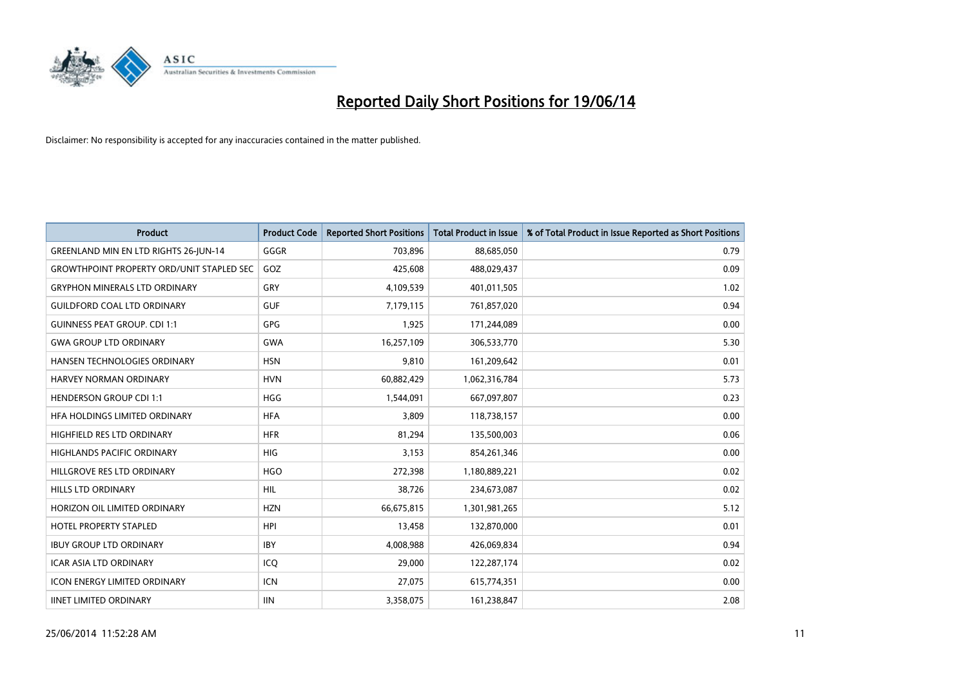

| Product                                          | <b>Product Code</b> | <b>Reported Short Positions</b> | <b>Total Product in Issue</b> | % of Total Product in Issue Reported as Short Positions |
|--------------------------------------------------|---------------------|---------------------------------|-------------------------------|---------------------------------------------------------|
| GREENLAND MIN EN LTD RIGHTS 26-JUN-14            | GGGR                | 703,896                         | 88,685,050                    | 0.79                                                    |
| <b>GROWTHPOINT PROPERTY ORD/UNIT STAPLED SEC</b> | GOZ                 | 425,608                         | 488,029,437                   | 0.09                                                    |
| <b>GRYPHON MINERALS LTD ORDINARY</b>             | GRY                 | 4,109,539                       | 401,011,505                   | 1.02                                                    |
| <b>GUILDFORD COAL LTD ORDINARY</b>               | <b>GUF</b>          | 7,179,115                       | 761,857,020                   | 0.94                                                    |
| <b>GUINNESS PEAT GROUP. CDI 1:1</b>              | GPG                 | 1,925                           | 171,244,089                   | 0.00                                                    |
| <b>GWA GROUP LTD ORDINARY</b>                    | <b>GWA</b>          | 16,257,109                      | 306,533,770                   | 5.30                                                    |
| <b>HANSEN TECHNOLOGIES ORDINARY</b>              | <b>HSN</b>          | 9,810                           | 161,209,642                   | 0.01                                                    |
| HARVEY NORMAN ORDINARY                           | <b>HVN</b>          | 60,882,429                      | 1,062,316,784                 | 5.73                                                    |
| <b>HENDERSON GROUP CDI 1:1</b>                   | <b>HGG</b>          | 1,544,091                       | 667,097,807                   | 0.23                                                    |
| HFA HOLDINGS LIMITED ORDINARY                    | <b>HFA</b>          | 3,809                           | 118,738,157                   | 0.00                                                    |
| HIGHFIELD RES LTD ORDINARY                       | <b>HFR</b>          | 81,294                          | 135,500,003                   | 0.06                                                    |
| <b>HIGHLANDS PACIFIC ORDINARY</b>                | <b>HIG</b>          | 3,153                           | 854,261,346                   | 0.00                                                    |
| HILLGROVE RES LTD ORDINARY                       | <b>HGO</b>          | 272,398                         | 1,180,889,221                 | 0.02                                                    |
| <b>HILLS LTD ORDINARY</b>                        | <b>HIL</b>          | 38,726                          | 234,673,087                   | 0.02                                                    |
| HORIZON OIL LIMITED ORDINARY                     | <b>HZN</b>          | 66,675,815                      | 1,301,981,265                 | 5.12                                                    |
| HOTEL PROPERTY STAPLED                           | HPI                 | 13,458                          | 132,870,000                   | 0.01                                                    |
| <b>IBUY GROUP LTD ORDINARY</b>                   | <b>IBY</b>          | 4,008,988                       | 426,069,834                   | 0.94                                                    |
| <b>ICAR ASIA LTD ORDINARY</b>                    | ICQ                 | 29,000                          | 122,287,174                   | 0.02                                                    |
| <b>ICON ENERGY LIMITED ORDINARY</b>              | <b>ICN</b>          | 27,075                          | 615,774,351                   | 0.00                                                    |
| <b>IINET LIMITED ORDINARY</b>                    | <b>IIN</b>          | 3,358,075                       | 161,238,847                   | 2.08                                                    |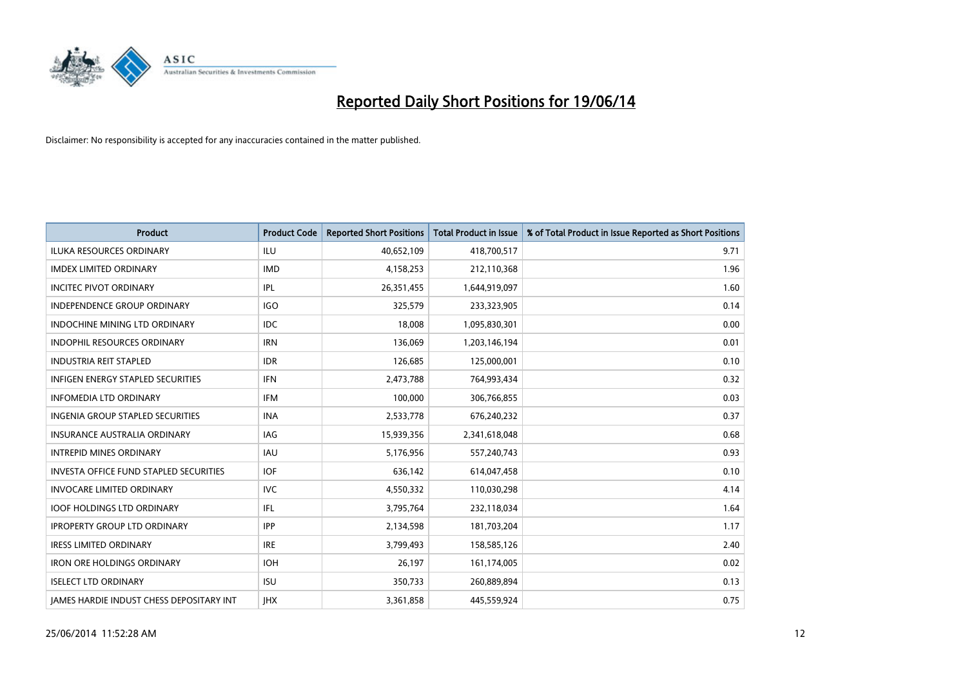

| <b>Product</b>                                  | <b>Product Code</b> | <b>Reported Short Positions</b> | <b>Total Product in Issue</b> | % of Total Product in Issue Reported as Short Positions |
|-------------------------------------------------|---------------------|---------------------------------|-------------------------------|---------------------------------------------------------|
| <b>ILUKA RESOURCES ORDINARY</b>                 | ILU                 | 40,652,109                      | 418,700,517                   | 9.71                                                    |
| <b>IMDEX LIMITED ORDINARY</b>                   | <b>IMD</b>          | 4,158,253                       | 212,110,368                   | 1.96                                                    |
| <b>INCITEC PIVOT ORDINARY</b>                   | IPL                 | 26,351,455                      | 1,644,919,097                 | 1.60                                                    |
| INDEPENDENCE GROUP ORDINARY                     | <b>IGO</b>          | 325,579                         | 233,323,905                   | 0.14                                                    |
| <b>INDOCHINE MINING LTD ORDINARY</b>            | <b>IDC</b>          | 18,008                          | 1,095,830,301                 | 0.00                                                    |
| <b>INDOPHIL RESOURCES ORDINARY</b>              | <b>IRN</b>          | 136,069                         | 1,203,146,194                 | 0.01                                                    |
| <b>INDUSTRIA REIT STAPLED</b>                   | <b>IDR</b>          | 126,685                         | 125,000,001                   | 0.10                                                    |
| <b>INFIGEN ENERGY STAPLED SECURITIES</b>        | <b>IFN</b>          | 2,473,788                       | 764,993,434                   | 0.32                                                    |
| <b>INFOMEDIA LTD ORDINARY</b>                   | IFM                 | 100,000                         | 306,766,855                   | 0.03                                                    |
| INGENIA GROUP STAPLED SECURITIES                | <b>INA</b>          | 2,533,778                       | 676,240,232                   | 0.37                                                    |
| <b>INSURANCE AUSTRALIA ORDINARY</b>             | IAG                 | 15,939,356                      | 2,341,618,048                 | 0.68                                                    |
| <b>INTREPID MINES ORDINARY</b>                  | IAU                 | 5,176,956                       | 557,240,743                   | 0.93                                                    |
| <b>INVESTA OFFICE FUND STAPLED SECURITIES</b>   | <b>IOF</b>          | 636.142                         | 614,047,458                   | 0.10                                                    |
| <b>INVOCARE LIMITED ORDINARY</b>                | <b>IVC</b>          | 4,550,332                       | 110,030,298                   | 4.14                                                    |
| <b>IOOF HOLDINGS LTD ORDINARY</b>               | IFL                 | 3,795,764                       | 232,118,034                   | 1.64                                                    |
| <b>IPROPERTY GROUP LTD ORDINARY</b>             | <b>IPP</b>          | 2,134,598                       | 181,703,204                   | 1.17                                                    |
| <b>IRESS LIMITED ORDINARY</b>                   | <b>IRE</b>          | 3,799,493                       | 158,585,126                   | 2.40                                                    |
| <b>IRON ORE HOLDINGS ORDINARY</b>               | <b>IOH</b>          | 26,197                          | 161,174,005                   | 0.02                                                    |
| <b>ISELECT LTD ORDINARY</b>                     | <b>ISU</b>          | 350,733                         | 260,889,894                   | 0.13                                                    |
| <b>IAMES HARDIE INDUST CHESS DEPOSITARY INT</b> | <b>IHX</b>          | 3,361,858                       | 445,559,924                   | 0.75                                                    |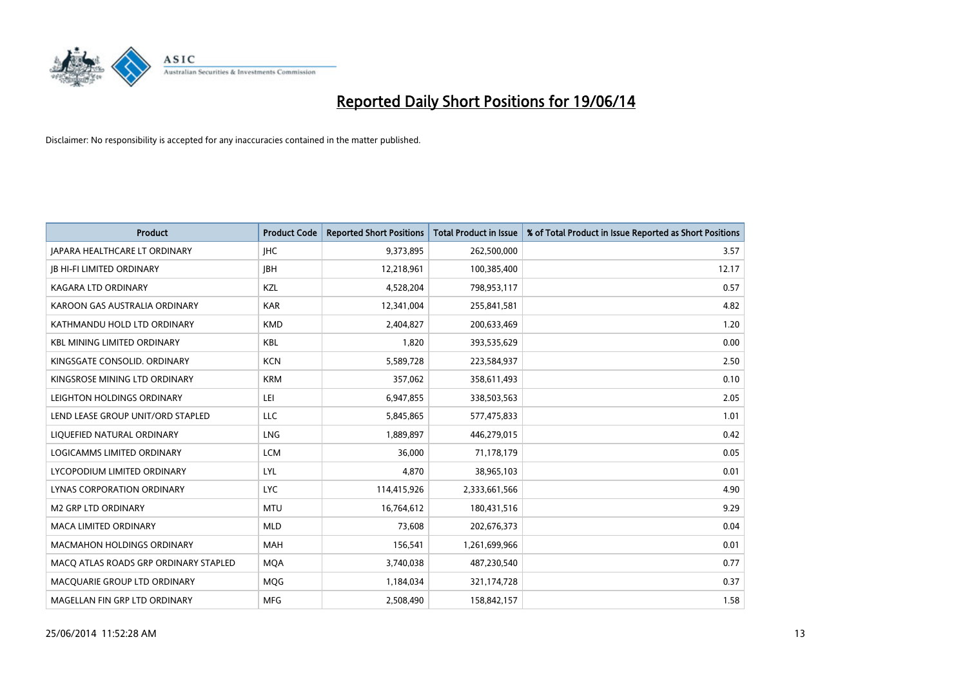

| <b>Product</b>                        | <b>Product Code</b> | <b>Reported Short Positions</b> | <b>Total Product in Issue</b> | % of Total Product in Issue Reported as Short Positions |
|---------------------------------------|---------------------|---------------------------------|-------------------------------|---------------------------------------------------------|
| <b>JAPARA HEALTHCARE LT ORDINARY</b>  | <b>IHC</b>          | 9,373,895                       | 262,500,000                   | 3.57                                                    |
| <b>JB HI-FI LIMITED ORDINARY</b>      | <b>JBH</b>          | 12,218,961                      | 100,385,400                   | 12.17                                                   |
| <b>KAGARA LTD ORDINARY</b>            | KZL                 | 4,528,204                       | 798,953,117                   | 0.57                                                    |
| KAROON GAS AUSTRALIA ORDINARY         | <b>KAR</b>          | 12,341,004                      | 255,841,581                   | 4.82                                                    |
| KATHMANDU HOLD LTD ORDINARY           | <b>KMD</b>          | 2,404,827                       | 200,633,469                   | 1.20                                                    |
| <b>KBL MINING LIMITED ORDINARY</b>    | <b>KBL</b>          | 1,820                           | 393,535,629                   | 0.00                                                    |
| KINGSGATE CONSOLID. ORDINARY          | <b>KCN</b>          | 5,589,728                       | 223,584,937                   | 2.50                                                    |
| KINGSROSE MINING LTD ORDINARY         | <b>KRM</b>          | 357,062                         | 358,611,493                   | 0.10                                                    |
| LEIGHTON HOLDINGS ORDINARY            | LEI                 | 6,947,855                       | 338,503,563                   | 2.05                                                    |
| LEND LEASE GROUP UNIT/ORD STAPLED     | <b>LLC</b>          | 5,845,865                       | 577,475,833                   | 1.01                                                    |
| LIQUEFIED NATURAL ORDINARY            | <b>LNG</b>          | 1,889,897                       | 446,279,015                   | 0.42                                                    |
| LOGICAMMS LIMITED ORDINARY            | <b>LCM</b>          | 36,000                          | 71,178,179                    | 0.05                                                    |
| LYCOPODIUM LIMITED ORDINARY           | LYL                 | 4.870                           | 38,965,103                    | 0.01                                                    |
| LYNAS CORPORATION ORDINARY            | <b>LYC</b>          | 114,415,926                     | 2,333,661,566                 | 4.90                                                    |
| <b>M2 GRP LTD ORDINARY</b>            | <b>MTU</b>          | 16,764,612                      | 180,431,516                   | 9.29                                                    |
| <b>MACA LIMITED ORDINARY</b>          | <b>MLD</b>          | 73,608                          | 202,676,373                   | 0.04                                                    |
| <b>MACMAHON HOLDINGS ORDINARY</b>     | MAH                 | 156,541                         | 1,261,699,966                 | 0.01                                                    |
| MACO ATLAS ROADS GRP ORDINARY STAPLED | <b>MQA</b>          | 3,740,038                       | 487,230,540                   | 0.77                                                    |
| MACQUARIE GROUP LTD ORDINARY          | <b>MOG</b>          | 1,184,034                       | 321,174,728                   | 0.37                                                    |
| MAGELLAN FIN GRP LTD ORDINARY         | <b>MFG</b>          | 2,508,490                       | 158,842,157                   | 1.58                                                    |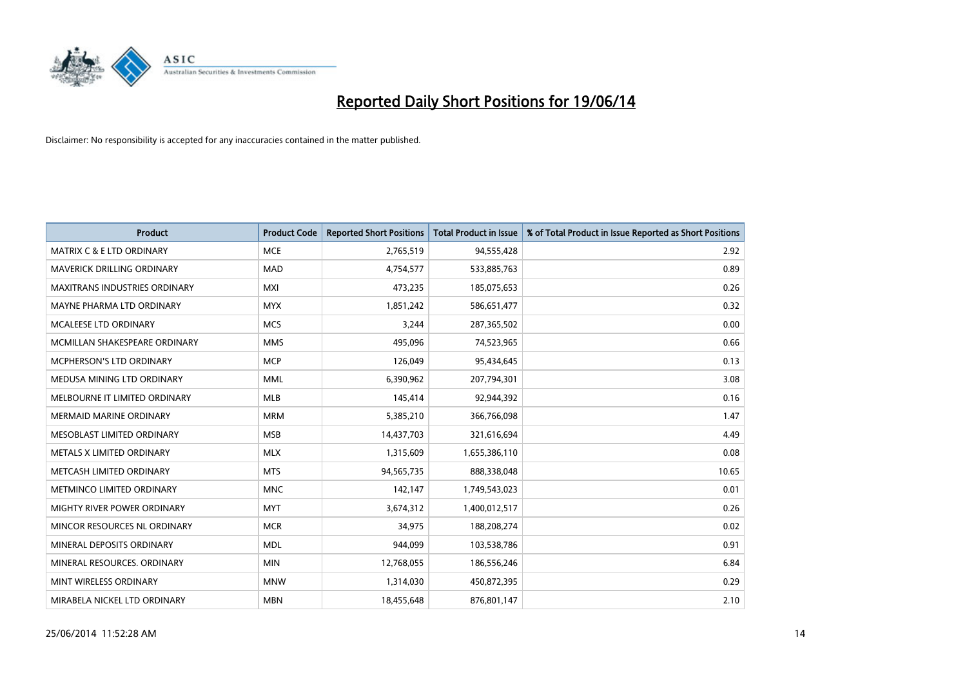

| <b>Product</b>                       | <b>Product Code</b> | <b>Reported Short Positions</b> | <b>Total Product in Issue</b> | % of Total Product in Issue Reported as Short Positions |
|--------------------------------------|---------------------|---------------------------------|-------------------------------|---------------------------------------------------------|
| <b>MATRIX C &amp; E LTD ORDINARY</b> | <b>MCE</b>          | 2,765,519                       | 94,555,428                    | 2.92                                                    |
| MAVERICK DRILLING ORDINARY           | <b>MAD</b>          | 4,754,577                       | 533,885,763                   | 0.89                                                    |
| <b>MAXITRANS INDUSTRIES ORDINARY</b> | <b>MXI</b>          | 473,235                         | 185,075,653                   | 0.26                                                    |
| MAYNE PHARMA LTD ORDINARY            | <b>MYX</b>          | 1,851,242                       | 586,651,477                   | 0.32                                                    |
| <b>MCALEESE LTD ORDINARY</b>         | <b>MCS</b>          | 3,244                           | 287,365,502                   | 0.00                                                    |
| MCMILLAN SHAKESPEARE ORDINARY        | <b>MMS</b>          | 495,096                         | 74,523,965                    | 0.66                                                    |
| <b>MCPHERSON'S LTD ORDINARY</b>      | <b>MCP</b>          | 126,049                         | 95,434,645                    | 0.13                                                    |
| MEDUSA MINING LTD ORDINARY           | <b>MML</b>          | 6,390,962                       | 207,794,301                   | 3.08                                                    |
| MELBOURNE IT LIMITED ORDINARY        | <b>MLB</b>          | 145,414                         | 92,944,392                    | 0.16                                                    |
| <b>MERMAID MARINE ORDINARY</b>       | <b>MRM</b>          | 5,385,210                       | 366,766,098                   | 1.47                                                    |
| MESOBLAST LIMITED ORDINARY           | <b>MSB</b>          | 14,437,703                      | 321,616,694                   | 4.49                                                    |
| METALS X LIMITED ORDINARY            | <b>MLX</b>          | 1,315,609                       | 1,655,386,110                 | 0.08                                                    |
| METCASH LIMITED ORDINARY             | <b>MTS</b>          | 94,565,735                      | 888,338,048                   | 10.65                                                   |
| METMINCO LIMITED ORDINARY            | <b>MNC</b>          | 142,147                         | 1,749,543,023                 | 0.01                                                    |
| MIGHTY RIVER POWER ORDINARY          | <b>MYT</b>          | 3,674,312                       | 1,400,012,517                 | 0.26                                                    |
| MINCOR RESOURCES NL ORDINARY         | <b>MCR</b>          | 34,975                          | 188,208,274                   | 0.02                                                    |
| MINERAL DEPOSITS ORDINARY            | <b>MDL</b>          | 944,099                         | 103,538,786                   | 0.91                                                    |
| MINERAL RESOURCES. ORDINARY          | <b>MIN</b>          | 12,768,055                      | 186,556,246                   | 6.84                                                    |
| MINT WIRELESS ORDINARY               | <b>MNW</b>          | 1,314,030                       | 450,872,395                   | 0.29                                                    |
| MIRABELA NICKEL LTD ORDINARY         | <b>MBN</b>          | 18,455,648                      | 876,801,147                   | 2.10                                                    |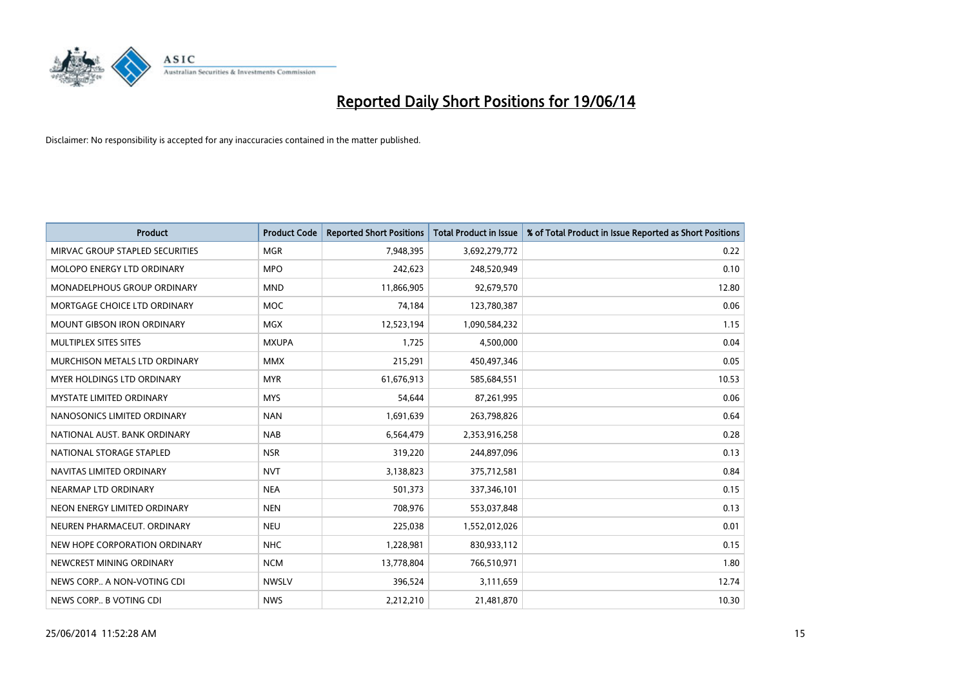

| <b>Product</b>                     | <b>Product Code</b> | <b>Reported Short Positions</b> | <b>Total Product in Issue</b> | % of Total Product in Issue Reported as Short Positions |
|------------------------------------|---------------------|---------------------------------|-------------------------------|---------------------------------------------------------|
| MIRVAC GROUP STAPLED SECURITIES    | <b>MGR</b>          | 7,948,395                       | 3,692,279,772                 | 0.22                                                    |
| MOLOPO ENERGY LTD ORDINARY         | <b>MPO</b>          | 242,623                         | 248,520,949                   | 0.10                                                    |
| <b>MONADELPHOUS GROUP ORDINARY</b> | <b>MND</b>          | 11,866,905                      | 92,679,570                    | 12.80                                                   |
| MORTGAGE CHOICE LTD ORDINARY       | <b>MOC</b>          | 74,184                          | 123,780,387                   | 0.06                                                    |
| <b>MOUNT GIBSON IRON ORDINARY</b>  | <b>MGX</b>          | 12,523,194                      | 1,090,584,232                 | 1.15                                                    |
| MULTIPLEX SITES SITES              | <b>MXUPA</b>        | 1,725                           | 4,500,000                     | 0.04                                                    |
| MURCHISON METALS LTD ORDINARY      | <b>MMX</b>          | 215,291                         | 450,497,346                   | 0.05                                                    |
| MYER HOLDINGS LTD ORDINARY         | <b>MYR</b>          | 61,676,913                      | 585,684,551                   | 10.53                                                   |
| <b>MYSTATE LIMITED ORDINARY</b>    | <b>MYS</b>          | 54,644                          | 87,261,995                    | 0.06                                                    |
| NANOSONICS LIMITED ORDINARY        | <b>NAN</b>          | 1,691,639                       | 263,798,826                   | 0.64                                                    |
| NATIONAL AUST. BANK ORDINARY       | <b>NAB</b>          | 6,564,479                       | 2,353,916,258                 | 0.28                                                    |
| NATIONAL STORAGE STAPLED           | <b>NSR</b>          | 319,220                         | 244,897,096                   | 0.13                                                    |
| NAVITAS LIMITED ORDINARY           | <b>NVT</b>          | 3,138,823                       | 375,712,581                   | 0.84                                                    |
| NEARMAP LTD ORDINARY               | <b>NEA</b>          | 501,373                         | 337,346,101                   | 0.15                                                    |
| NEON ENERGY LIMITED ORDINARY       | <b>NEN</b>          | 708,976                         | 553,037,848                   | 0.13                                                    |
| NEUREN PHARMACEUT. ORDINARY        | <b>NEU</b>          | 225,038                         | 1,552,012,026                 | 0.01                                                    |
| NEW HOPE CORPORATION ORDINARY      | <b>NHC</b>          | 1,228,981                       | 830,933,112                   | 0.15                                                    |
| NEWCREST MINING ORDINARY           | <b>NCM</b>          | 13,778,804                      | 766,510,971                   | 1.80                                                    |
| NEWS CORP A NON-VOTING CDI         | <b>NWSLV</b>        | 396,524                         | 3,111,659                     | 12.74                                                   |
| NEWS CORP B VOTING CDI             | <b>NWS</b>          | 2,212,210                       | 21,481,870                    | 10.30                                                   |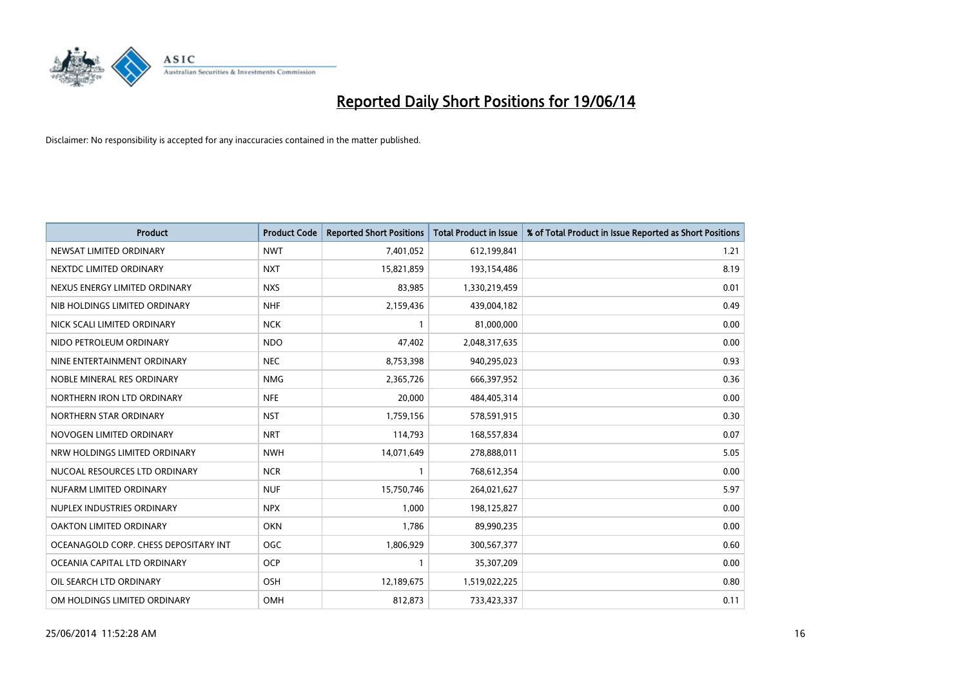

| <b>Product</b>                        | <b>Product Code</b> | <b>Reported Short Positions</b> | <b>Total Product in Issue</b> | % of Total Product in Issue Reported as Short Positions |
|---------------------------------------|---------------------|---------------------------------|-------------------------------|---------------------------------------------------------|
| NEWSAT LIMITED ORDINARY               | <b>NWT</b>          | 7,401,052                       | 612,199,841                   | 1.21                                                    |
| NEXTDC LIMITED ORDINARY               | <b>NXT</b>          | 15,821,859                      | 193,154,486                   | 8.19                                                    |
| NEXUS ENERGY LIMITED ORDINARY         | <b>NXS</b>          | 83,985                          | 1,330,219,459                 | 0.01                                                    |
| NIB HOLDINGS LIMITED ORDINARY         | <b>NHF</b>          | 2,159,436                       | 439,004,182                   | 0.49                                                    |
| NICK SCALI LIMITED ORDINARY           | <b>NCK</b>          | $\mathbf{1}$                    | 81,000,000                    | 0.00                                                    |
| NIDO PETROLEUM ORDINARY               | <b>NDO</b>          | 47,402                          | 2,048,317,635                 | 0.00                                                    |
| NINE ENTERTAINMENT ORDINARY           | <b>NEC</b>          | 8,753,398                       | 940,295,023                   | 0.93                                                    |
| NOBLE MINERAL RES ORDINARY            | <b>NMG</b>          | 2,365,726                       | 666,397,952                   | 0.36                                                    |
| NORTHERN IRON LTD ORDINARY            | <b>NFE</b>          | 20,000                          | 484,405,314                   | 0.00                                                    |
| NORTHERN STAR ORDINARY                | <b>NST</b>          | 1,759,156                       | 578,591,915                   | 0.30                                                    |
| NOVOGEN LIMITED ORDINARY              | <b>NRT</b>          | 114,793                         | 168,557,834                   | 0.07                                                    |
| NRW HOLDINGS LIMITED ORDINARY         | <b>NWH</b>          | 14,071,649                      | 278,888,011                   | 5.05                                                    |
| NUCOAL RESOURCES LTD ORDINARY         | <b>NCR</b>          | $\mathbf{1}$                    | 768,612,354                   | 0.00                                                    |
| NUFARM LIMITED ORDINARY               | <b>NUF</b>          | 15,750,746                      | 264,021,627                   | 5.97                                                    |
| NUPLEX INDUSTRIES ORDINARY            | <b>NPX</b>          | 1,000                           | 198,125,827                   | 0.00                                                    |
| OAKTON LIMITED ORDINARY               | <b>OKN</b>          | 1,786                           | 89,990,235                    | 0.00                                                    |
| OCEANAGOLD CORP. CHESS DEPOSITARY INT | <b>OGC</b>          | 1,806,929                       | 300,567,377                   | 0.60                                                    |
| OCEANIA CAPITAL LTD ORDINARY          | <b>OCP</b>          | 1                               | 35,307,209                    | 0.00                                                    |
| OIL SEARCH LTD ORDINARY               | OSH                 | 12,189,675                      | 1,519,022,225                 | 0.80                                                    |
| OM HOLDINGS LIMITED ORDINARY          | OMH                 | 812,873                         | 733,423,337                   | 0.11                                                    |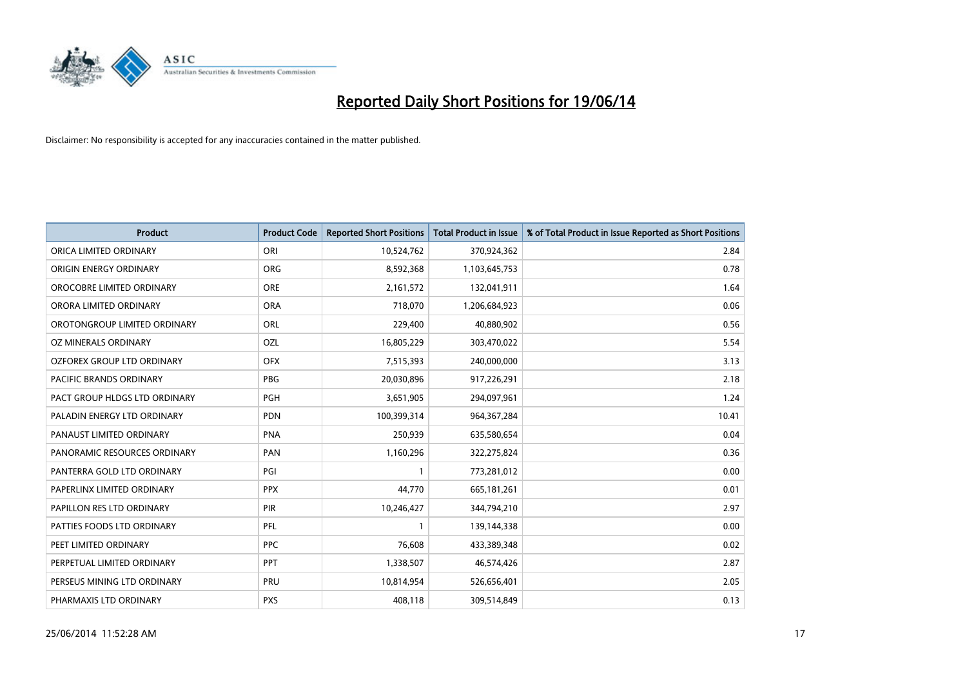

| <b>Product</b>                    | <b>Product Code</b> | <b>Reported Short Positions</b> | <b>Total Product in Issue</b> | % of Total Product in Issue Reported as Short Positions |
|-----------------------------------|---------------------|---------------------------------|-------------------------------|---------------------------------------------------------|
| ORICA LIMITED ORDINARY            | ORI                 | 10,524,762                      | 370,924,362                   | 2.84                                                    |
| ORIGIN ENERGY ORDINARY            | <b>ORG</b>          | 8,592,368                       | 1,103,645,753                 | 0.78                                                    |
| OROCOBRE LIMITED ORDINARY         | <b>ORE</b>          | 2,161,572                       | 132,041,911                   | 1.64                                                    |
| ORORA LIMITED ORDINARY            | <b>ORA</b>          | 718,070                         | 1,206,684,923                 | 0.06                                                    |
| OROTONGROUP LIMITED ORDINARY      | ORL                 | 229,400                         | 40,880,902                    | 0.56                                                    |
| OZ MINERALS ORDINARY              | OZL                 | 16,805,229                      | 303,470,022                   | 5.54                                                    |
| <b>OZFOREX GROUP LTD ORDINARY</b> | <b>OFX</b>          | 7,515,393                       | 240,000,000                   | 3.13                                                    |
| <b>PACIFIC BRANDS ORDINARY</b>    | <b>PBG</b>          | 20,030,896                      | 917,226,291                   | 2.18                                                    |
| PACT GROUP HLDGS LTD ORDINARY     | <b>PGH</b>          | 3,651,905                       | 294,097,961                   | 1.24                                                    |
| PALADIN ENERGY LTD ORDINARY       | <b>PDN</b>          | 100,399,314                     | 964,367,284                   | 10.41                                                   |
| PANAUST LIMITED ORDINARY          | <b>PNA</b>          | 250,939                         | 635,580,654                   | 0.04                                                    |
| PANORAMIC RESOURCES ORDINARY      | PAN                 | 1,160,296                       | 322,275,824                   | 0.36                                                    |
| PANTERRA GOLD LTD ORDINARY        | PGI                 | 1                               | 773,281,012                   | 0.00                                                    |
| PAPERLINX LIMITED ORDINARY        | <b>PPX</b>          | 44,770                          | 665, 181, 261                 | 0.01                                                    |
| PAPILLON RES LTD ORDINARY         | PIR                 | 10,246,427                      | 344,794,210                   | 2.97                                                    |
| PATTIES FOODS LTD ORDINARY        | PFL                 |                                 | 139,144,338                   | 0.00                                                    |
| PEET LIMITED ORDINARY             | <b>PPC</b>          | 76,608                          | 433,389,348                   | 0.02                                                    |
| PERPETUAL LIMITED ORDINARY        | <b>PPT</b>          | 1,338,507                       | 46,574,426                    | 2.87                                                    |
| PERSEUS MINING LTD ORDINARY       | PRU                 | 10,814,954                      | 526,656,401                   | 2.05                                                    |
| PHARMAXIS LTD ORDINARY            | <b>PXS</b>          | 408,118                         | 309,514,849                   | 0.13                                                    |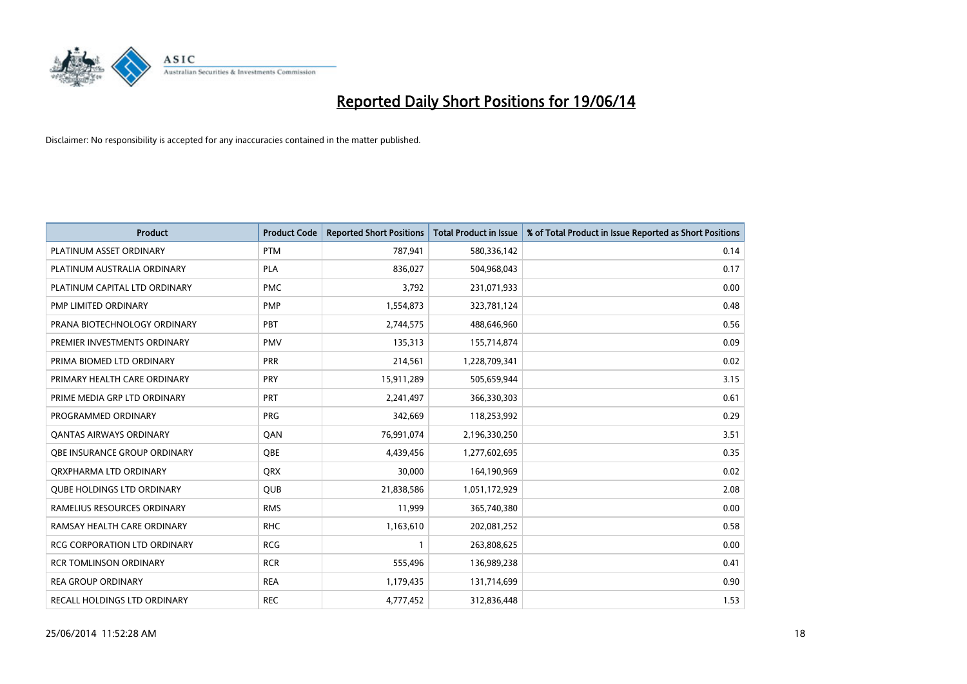

| <b>Product</b>                    | <b>Product Code</b> | <b>Reported Short Positions</b> | <b>Total Product in Issue</b> | % of Total Product in Issue Reported as Short Positions |
|-----------------------------------|---------------------|---------------------------------|-------------------------------|---------------------------------------------------------|
| PLATINUM ASSET ORDINARY           | <b>PTM</b>          | 787,941                         | 580,336,142                   | 0.14                                                    |
| PLATINUM AUSTRALIA ORDINARY       | <b>PLA</b>          | 836,027                         | 504,968,043                   | 0.17                                                    |
| PLATINUM CAPITAL LTD ORDINARY     | <b>PMC</b>          | 3,792                           | 231,071,933                   | 0.00                                                    |
| PMP LIMITED ORDINARY              | <b>PMP</b>          | 1,554,873                       | 323,781,124                   | 0.48                                                    |
| PRANA BIOTECHNOLOGY ORDINARY      | PBT                 | 2,744,575                       | 488,646,960                   | 0.56                                                    |
| PREMIER INVESTMENTS ORDINARY      | <b>PMV</b>          | 135,313                         | 155,714,874                   | 0.09                                                    |
| PRIMA BIOMED LTD ORDINARY         | <b>PRR</b>          | 214,561                         | 1,228,709,341                 | 0.02                                                    |
| PRIMARY HEALTH CARE ORDINARY      | <b>PRY</b>          | 15,911,289                      | 505,659,944                   | 3.15                                                    |
| PRIME MEDIA GRP LTD ORDINARY      | <b>PRT</b>          | 2,241,497                       | 366,330,303                   | 0.61                                                    |
| PROGRAMMED ORDINARY               | <b>PRG</b>          | 342,669                         | 118,253,992                   | 0.29                                                    |
| <b>QANTAS AIRWAYS ORDINARY</b>    | QAN                 | 76,991,074                      | 2,196,330,250                 | 3.51                                                    |
| OBE INSURANCE GROUP ORDINARY      | QBE                 | 4,439,456                       | 1,277,602,695                 | 0.35                                                    |
| ORXPHARMA LTD ORDINARY            | <b>QRX</b>          | 30,000                          | 164,190,969                   | 0.02                                                    |
| <b>QUBE HOLDINGS LTD ORDINARY</b> | <b>QUB</b>          | 21,838,586                      | 1,051,172,929                 | 2.08                                                    |
| RAMELIUS RESOURCES ORDINARY       | <b>RMS</b>          | 11,999                          | 365,740,380                   | 0.00                                                    |
| RAMSAY HEALTH CARE ORDINARY       | <b>RHC</b>          | 1,163,610                       | 202,081,252                   | 0.58                                                    |
| RCG CORPORATION LTD ORDINARY      | <b>RCG</b>          | $\mathbf{1}$                    | 263,808,625                   | 0.00                                                    |
| <b>RCR TOMLINSON ORDINARY</b>     | <b>RCR</b>          | 555,496                         | 136,989,238                   | 0.41                                                    |
| <b>REA GROUP ORDINARY</b>         | <b>REA</b>          | 1,179,435                       | 131,714,699                   | 0.90                                                    |
| RECALL HOLDINGS LTD ORDINARY      | <b>REC</b>          | 4,777,452                       | 312,836,448                   | 1.53                                                    |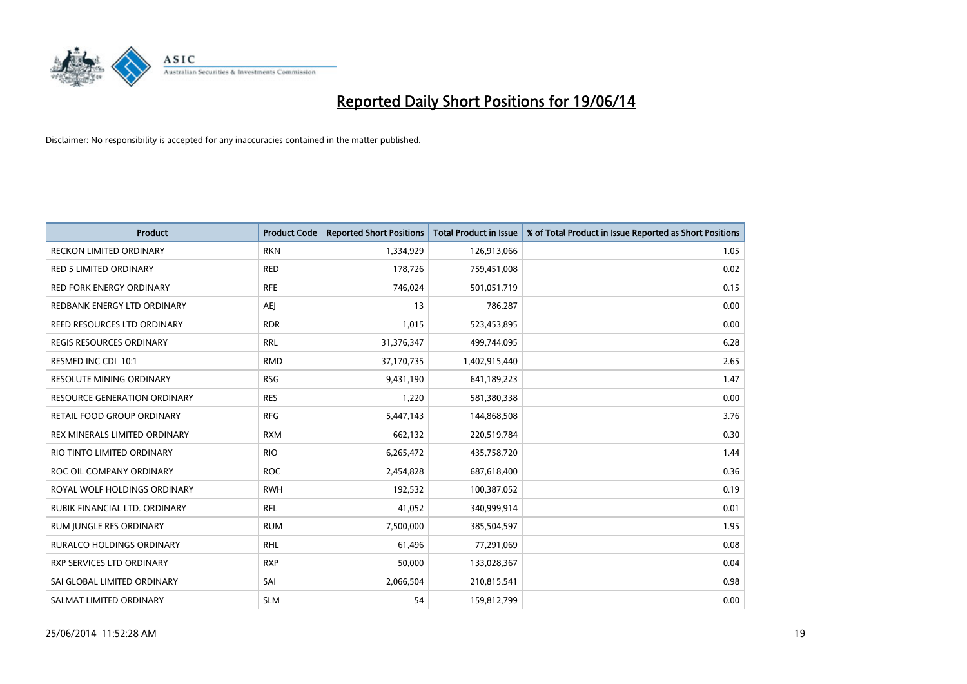

| Product                             | <b>Product Code</b> | <b>Reported Short Positions</b> | <b>Total Product in Issue</b> | % of Total Product in Issue Reported as Short Positions |
|-------------------------------------|---------------------|---------------------------------|-------------------------------|---------------------------------------------------------|
| <b>RECKON LIMITED ORDINARY</b>      | <b>RKN</b>          | 1,334,929                       | 126,913,066                   | 1.05                                                    |
| <b>RED 5 LIMITED ORDINARY</b>       | <b>RED</b>          | 178,726                         | 759,451,008                   | 0.02                                                    |
| <b>RED FORK ENERGY ORDINARY</b>     | <b>RFE</b>          | 746,024                         | 501,051,719                   | 0.15                                                    |
| REDBANK ENERGY LTD ORDINARY         | <b>AEJ</b>          | 13                              | 786,287                       | 0.00                                                    |
| REED RESOURCES LTD ORDINARY         | <b>RDR</b>          | 1,015                           | 523,453,895                   | 0.00                                                    |
| <b>REGIS RESOURCES ORDINARY</b>     | <b>RRL</b>          | 31,376,347                      | 499,744,095                   | 6.28                                                    |
| RESMED INC CDI 10:1                 | <b>RMD</b>          | 37,170,735                      | 1,402,915,440                 | 2.65                                                    |
| RESOLUTE MINING ORDINARY            | <b>RSG</b>          | 9,431,190                       | 641,189,223                   | 1.47                                                    |
| <b>RESOURCE GENERATION ORDINARY</b> | <b>RES</b>          | 1,220                           | 581,380,338                   | 0.00                                                    |
| RETAIL FOOD GROUP ORDINARY          | <b>RFG</b>          | 5,447,143                       | 144,868,508                   | 3.76                                                    |
| REX MINERALS LIMITED ORDINARY       | <b>RXM</b>          | 662,132                         | 220,519,784                   | 0.30                                                    |
| RIO TINTO LIMITED ORDINARY          | <b>RIO</b>          | 6,265,472                       | 435,758,720                   | 1.44                                                    |
| ROC OIL COMPANY ORDINARY            | <b>ROC</b>          | 2,454,828                       | 687,618,400                   | 0.36                                                    |
| ROYAL WOLF HOLDINGS ORDINARY        | <b>RWH</b>          | 192,532                         | 100,387,052                   | 0.19                                                    |
| RUBIK FINANCIAL LTD. ORDINARY       | <b>RFL</b>          | 41,052                          | 340,999,914                   | 0.01                                                    |
| RUM JUNGLE RES ORDINARY             | <b>RUM</b>          | 7,500,000                       | 385,504,597                   | 1.95                                                    |
| RURALCO HOLDINGS ORDINARY           | <b>RHL</b>          | 61,496                          | 77,291,069                    | 0.08                                                    |
| RXP SERVICES LTD ORDINARY           | <b>RXP</b>          | 50,000                          | 133,028,367                   | 0.04                                                    |
| SAI GLOBAL LIMITED ORDINARY         | SAI                 | 2,066,504                       | 210,815,541                   | 0.98                                                    |
| SALMAT LIMITED ORDINARY             | <b>SLM</b>          | 54                              | 159,812,799                   | 0.00                                                    |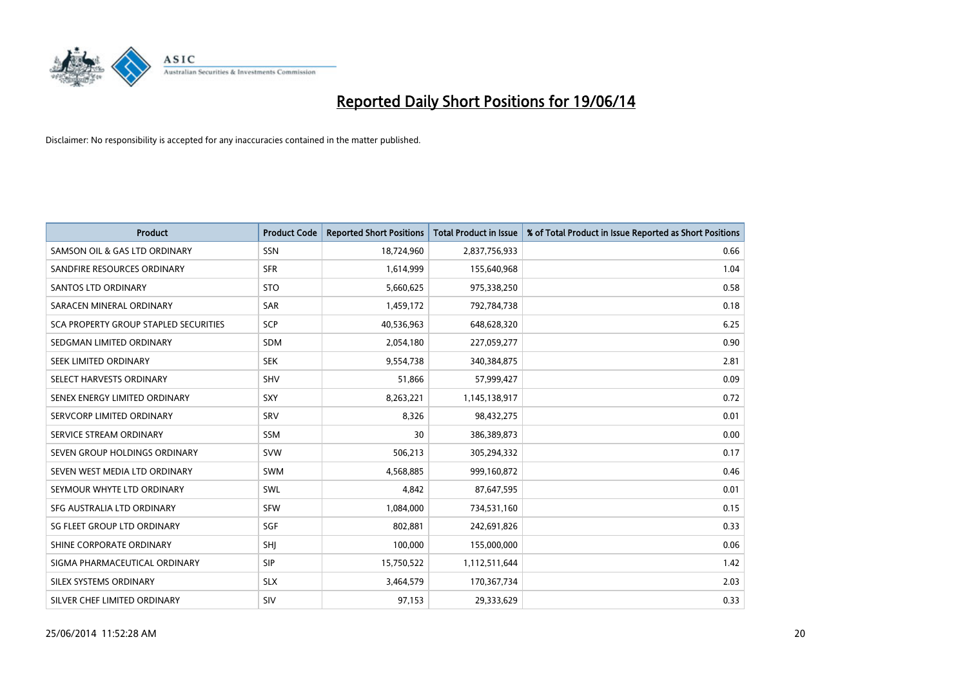

| <b>Product</b>                               | <b>Product Code</b> | <b>Reported Short Positions</b> | <b>Total Product in Issue</b> | % of Total Product in Issue Reported as Short Positions |
|----------------------------------------------|---------------------|---------------------------------|-------------------------------|---------------------------------------------------------|
| SAMSON OIL & GAS LTD ORDINARY                | SSN                 | 18,724,960                      | 2,837,756,933                 | 0.66                                                    |
| SANDFIRE RESOURCES ORDINARY                  | <b>SFR</b>          | 1,614,999                       | 155,640,968                   | 1.04                                                    |
| <b>SANTOS LTD ORDINARY</b>                   | <b>STO</b>          | 5,660,625                       | 975,338,250                   | 0.58                                                    |
| SARACEN MINERAL ORDINARY                     | SAR                 | 1,459,172                       | 792,784,738                   | 0.18                                                    |
| <b>SCA PROPERTY GROUP STAPLED SECURITIES</b> | SCP                 | 40,536,963                      | 648,628,320                   | 6.25                                                    |
| SEDGMAN LIMITED ORDINARY                     | SDM                 | 2,054,180                       | 227,059,277                   | 0.90                                                    |
| SEEK LIMITED ORDINARY                        | <b>SEK</b>          | 9,554,738                       | 340,384,875                   | 2.81                                                    |
| SELECT HARVESTS ORDINARY                     | <b>SHV</b>          | 51,866                          | 57,999,427                    | 0.09                                                    |
| SENEX ENERGY LIMITED ORDINARY                | <b>SXY</b>          | 8,263,221                       | 1,145,138,917                 | 0.72                                                    |
| SERVCORP LIMITED ORDINARY                    | SRV                 | 8,326                           | 98,432,275                    | 0.01                                                    |
| SERVICE STREAM ORDINARY                      | <b>SSM</b>          | 30                              | 386,389,873                   | 0.00                                                    |
| SEVEN GROUP HOLDINGS ORDINARY                | <b>SVW</b>          | 506,213                         | 305,294,332                   | 0.17                                                    |
| SEVEN WEST MEDIA LTD ORDINARY                | <b>SWM</b>          | 4,568,885                       | 999,160,872                   | 0.46                                                    |
| SEYMOUR WHYTE LTD ORDINARY                   | SWL                 | 4,842                           | 87,647,595                    | 0.01                                                    |
| SFG AUSTRALIA LTD ORDINARY                   | <b>SFW</b>          | 1,084,000                       | 734,531,160                   | 0.15                                                    |
| SG FLEET GROUP LTD ORDINARY                  | SGF                 | 802,881                         | 242,691,826                   | 0.33                                                    |
| SHINE CORPORATE ORDINARY                     | SHJ                 | 100,000                         | 155,000,000                   | 0.06                                                    |
| SIGMA PHARMACEUTICAL ORDINARY                | <b>SIP</b>          | 15,750,522                      | 1,112,511,644                 | 1.42                                                    |
| SILEX SYSTEMS ORDINARY                       | <b>SLX</b>          | 3,464,579                       | 170,367,734                   | 2.03                                                    |
| SILVER CHEF LIMITED ORDINARY                 | SIV                 | 97,153                          | 29,333,629                    | 0.33                                                    |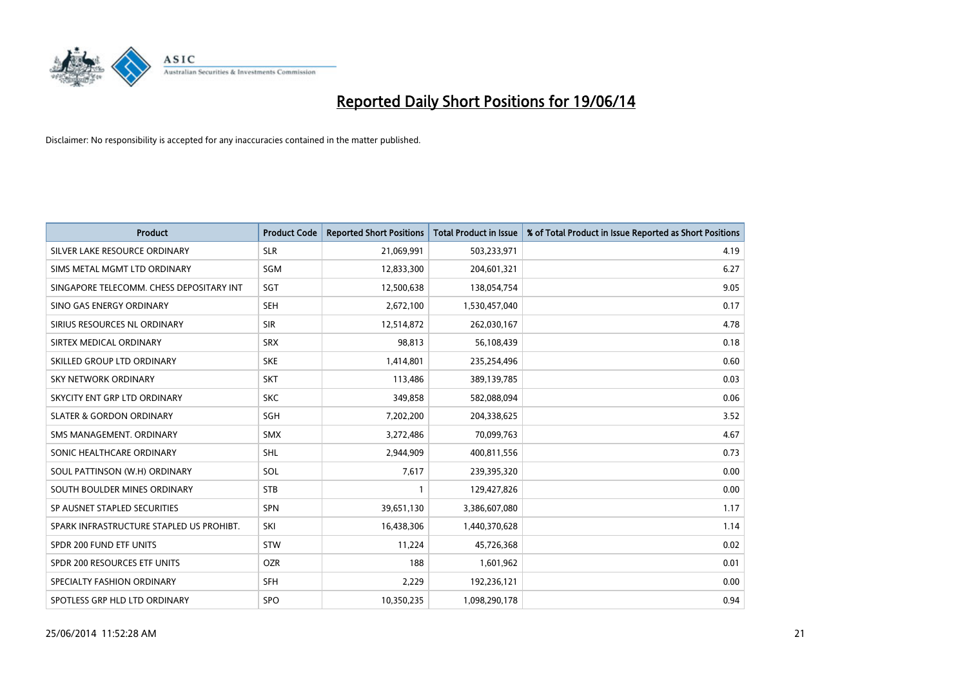

| <b>Product</b>                           | <b>Product Code</b> | <b>Reported Short Positions</b> | <b>Total Product in Issue</b> | % of Total Product in Issue Reported as Short Positions |
|------------------------------------------|---------------------|---------------------------------|-------------------------------|---------------------------------------------------------|
| SILVER LAKE RESOURCE ORDINARY            | <b>SLR</b>          | 21,069,991                      | 503,233,971                   | 4.19                                                    |
| SIMS METAL MGMT LTD ORDINARY             | <b>SGM</b>          | 12,833,300                      | 204,601,321                   | 6.27                                                    |
| SINGAPORE TELECOMM. CHESS DEPOSITARY INT | SGT                 | 12,500,638                      | 138,054,754                   | 9.05                                                    |
| SINO GAS ENERGY ORDINARY                 | <b>SEH</b>          | 2,672,100                       | 1,530,457,040                 | 0.17                                                    |
| SIRIUS RESOURCES NL ORDINARY             | <b>SIR</b>          | 12,514,872                      | 262,030,167                   | 4.78                                                    |
| SIRTEX MEDICAL ORDINARY                  | <b>SRX</b>          | 98,813                          | 56,108,439                    | 0.18                                                    |
| SKILLED GROUP LTD ORDINARY               | <b>SKE</b>          | 1,414,801                       | 235,254,496                   | 0.60                                                    |
| SKY NETWORK ORDINARY                     | <b>SKT</b>          | 113,486                         | 389,139,785                   | 0.03                                                    |
| SKYCITY ENT GRP LTD ORDINARY             | <b>SKC</b>          | 349,858                         | 582,088,094                   | 0.06                                                    |
| <b>SLATER &amp; GORDON ORDINARY</b>      | SGH                 | 7,202,200                       | 204,338,625                   | 3.52                                                    |
| SMS MANAGEMENT. ORDINARY                 | <b>SMX</b>          | 3,272,486                       | 70,099,763                    | 4.67                                                    |
| SONIC HEALTHCARE ORDINARY                | SHL                 | 2,944,909                       | 400,811,556                   | 0.73                                                    |
| SOUL PATTINSON (W.H) ORDINARY            | SOL                 | 7,617                           | 239,395,320                   | 0.00                                                    |
| SOUTH BOULDER MINES ORDINARY             | <b>STB</b>          | 1                               | 129,427,826                   | 0.00                                                    |
| SP AUSNET STAPLED SECURITIES             | <b>SPN</b>          | 39,651,130                      | 3,386,607,080                 | 1.17                                                    |
| SPARK INFRASTRUCTURE STAPLED US PROHIBT. | SKI                 | 16,438,306                      | 1,440,370,628                 | 1.14                                                    |
| SPDR 200 FUND ETF UNITS                  | STW                 | 11,224                          | 45,726,368                    | 0.02                                                    |
| SPDR 200 RESOURCES ETF UNITS             | <b>OZR</b>          | 188                             | 1,601,962                     | 0.01                                                    |
| SPECIALTY FASHION ORDINARY               | <b>SFH</b>          | 2,229                           | 192,236,121                   | 0.00                                                    |
| SPOTLESS GRP HLD LTD ORDINARY            | <b>SPO</b>          | 10,350,235                      | 1,098,290,178                 | 0.94                                                    |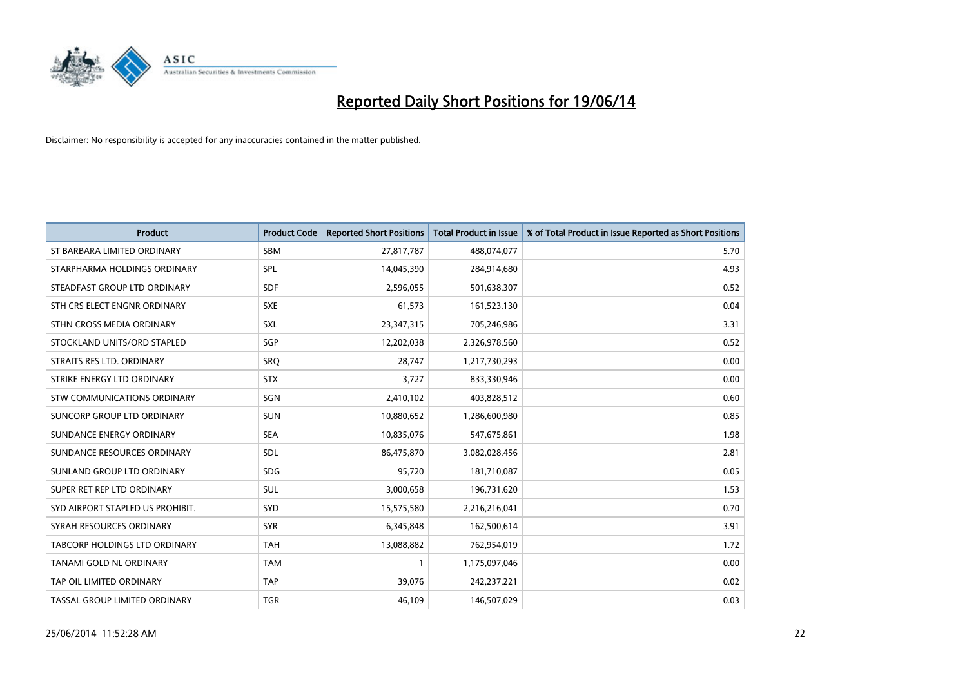

| <b>Product</b>                   | <b>Product Code</b> | <b>Reported Short Positions</b> | <b>Total Product in Issue</b> | % of Total Product in Issue Reported as Short Positions |
|----------------------------------|---------------------|---------------------------------|-------------------------------|---------------------------------------------------------|
| ST BARBARA LIMITED ORDINARY      | <b>SBM</b>          | 27,817,787                      | 488,074,077                   | 5.70                                                    |
| STARPHARMA HOLDINGS ORDINARY     | SPL                 | 14,045,390                      | 284,914,680                   | 4.93                                                    |
| STEADFAST GROUP LTD ORDINARY     | <b>SDF</b>          | 2,596,055                       | 501,638,307                   | 0.52                                                    |
| STH CRS ELECT ENGNR ORDINARY     | <b>SXE</b>          | 61,573                          | 161,523,130                   | 0.04                                                    |
| STHN CROSS MEDIA ORDINARY        | SXL                 | 23,347,315                      | 705,246,986                   | 3.31                                                    |
| STOCKLAND UNITS/ORD STAPLED      | SGP                 | 12,202,038                      | 2,326,978,560                 | 0.52                                                    |
| STRAITS RES LTD. ORDINARY        | <b>SRQ</b>          | 28,747                          | 1,217,730,293                 | 0.00                                                    |
| STRIKE ENERGY LTD ORDINARY       | <b>STX</b>          | 3,727                           | 833,330,946                   | 0.00                                                    |
| STW COMMUNICATIONS ORDINARY      | SGN                 | 2,410,102                       | 403,828,512                   | 0.60                                                    |
| SUNCORP GROUP LTD ORDINARY       | <b>SUN</b>          | 10,880,652                      | 1,286,600,980                 | 0.85                                                    |
| SUNDANCE ENERGY ORDINARY         | <b>SEA</b>          | 10,835,076                      | 547,675,861                   | 1.98                                                    |
| SUNDANCE RESOURCES ORDINARY      | <b>SDL</b>          | 86,475,870                      | 3,082,028,456                 | 2.81                                                    |
| SUNLAND GROUP LTD ORDINARY       | <b>SDG</b>          | 95,720                          | 181,710,087                   | 0.05                                                    |
| SUPER RET REP LTD ORDINARY       | SUL                 | 3,000,658                       | 196,731,620                   | 1.53                                                    |
| SYD AIRPORT STAPLED US PROHIBIT. | <b>SYD</b>          | 15,575,580                      | 2,216,216,041                 | 0.70                                                    |
| SYRAH RESOURCES ORDINARY         | <b>SYR</b>          | 6,345,848                       | 162,500,614                   | 3.91                                                    |
| TABCORP HOLDINGS LTD ORDINARY    | <b>TAH</b>          | 13,088,882                      | 762,954,019                   | 1.72                                                    |
| <b>TANAMI GOLD NL ORDINARY</b>   | <b>TAM</b>          | 1                               | 1,175,097,046                 | 0.00                                                    |
| TAP OIL LIMITED ORDINARY         | <b>TAP</b>          | 39,076                          | 242,237,221                   | 0.02                                                    |
| TASSAL GROUP LIMITED ORDINARY    | <b>TGR</b>          | 46,109                          | 146,507,029                   | 0.03                                                    |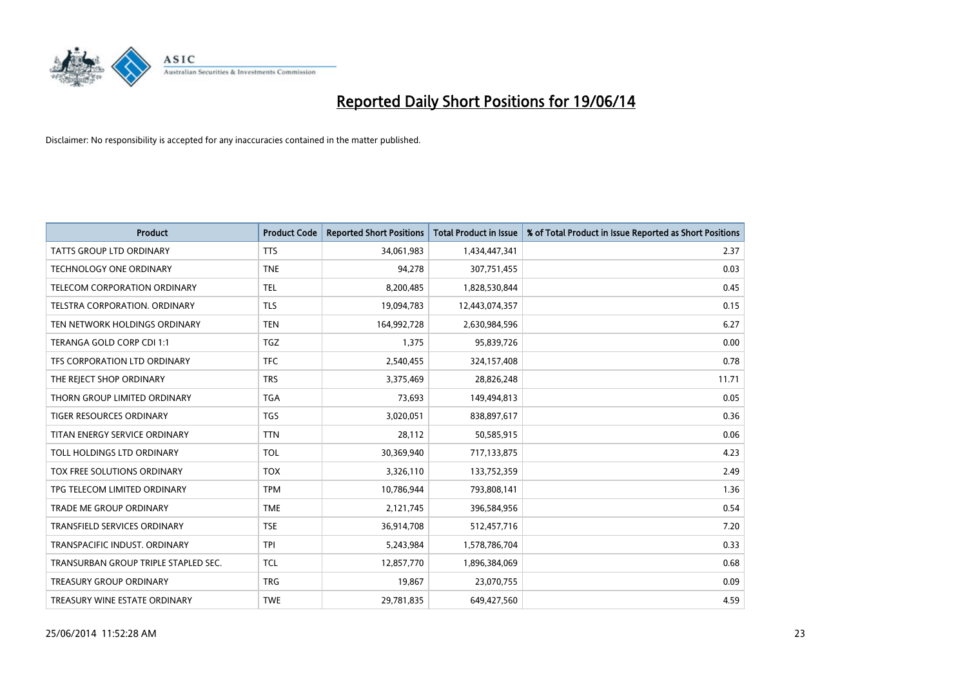

| <b>Product</b>                       | <b>Product Code</b> | <b>Reported Short Positions</b> | <b>Total Product in Issue</b> | % of Total Product in Issue Reported as Short Positions |
|--------------------------------------|---------------------|---------------------------------|-------------------------------|---------------------------------------------------------|
| <b>TATTS GROUP LTD ORDINARY</b>      | <b>TTS</b>          | 34,061,983                      | 1,434,447,341                 | 2.37                                                    |
| <b>TECHNOLOGY ONE ORDINARY</b>       | <b>TNE</b>          | 94,278                          | 307,751,455                   | 0.03                                                    |
| <b>TELECOM CORPORATION ORDINARY</b>  | <b>TEL</b>          | 8,200,485                       | 1,828,530,844                 | 0.45                                                    |
| TELSTRA CORPORATION. ORDINARY        | <b>TLS</b>          | 19,094,783                      | 12,443,074,357                | 0.15                                                    |
| TEN NETWORK HOLDINGS ORDINARY        | <b>TEN</b>          | 164,992,728                     | 2,630,984,596                 | 6.27                                                    |
| TERANGA GOLD CORP CDI 1:1            | <b>TGZ</b>          | 1,375                           | 95,839,726                    | 0.00                                                    |
| TFS CORPORATION LTD ORDINARY         | <b>TFC</b>          | 2,540,455                       | 324,157,408                   | 0.78                                                    |
| THE REJECT SHOP ORDINARY             | <b>TRS</b>          | 3,375,469                       | 28,826,248                    | 11.71                                                   |
| THORN GROUP LIMITED ORDINARY         | <b>TGA</b>          | 73,693                          | 149,494,813                   | 0.05                                                    |
| <b>TIGER RESOURCES ORDINARY</b>      | <b>TGS</b>          | 3,020,051                       | 838,897,617                   | 0.36                                                    |
| TITAN ENERGY SERVICE ORDINARY        | <b>TTN</b>          | 28,112                          | 50,585,915                    | 0.06                                                    |
| TOLL HOLDINGS LTD ORDINARY           | <b>TOL</b>          | 30,369,940                      | 717,133,875                   | 4.23                                                    |
| <b>TOX FREE SOLUTIONS ORDINARY</b>   | <b>TOX</b>          | 3,326,110                       | 133,752,359                   | 2.49                                                    |
| TPG TELECOM LIMITED ORDINARY         | <b>TPM</b>          | 10,786,944                      | 793,808,141                   | 1.36                                                    |
| <b>TRADE ME GROUP ORDINARY</b>       | <b>TME</b>          | 2,121,745                       | 396,584,956                   | 0.54                                                    |
| <b>TRANSFIELD SERVICES ORDINARY</b>  | <b>TSE</b>          | 36,914,708                      | 512,457,716                   | 7.20                                                    |
| TRANSPACIFIC INDUST, ORDINARY        | <b>TPI</b>          | 5,243,984                       | 1,578,786,704                 | 0.33                                                    |
| TRANSURBAN GROUP TRIPLE STAPLED SEC. | <b>TCL</b>          | 12,857,770                      | 1,896,384,069                 | 0.68                                                    |
| <b>TREASURY GROUP ORDINARY</b>       | <b>TRG</b>          | 19,867                          | 23,070,755                    | 0.09                                                    |
| TREASURY WINE ESTATE ORDINARY        | <b>TWE</b>          | 29,781,835                      | 649,427,560                   | 4.59                                                    |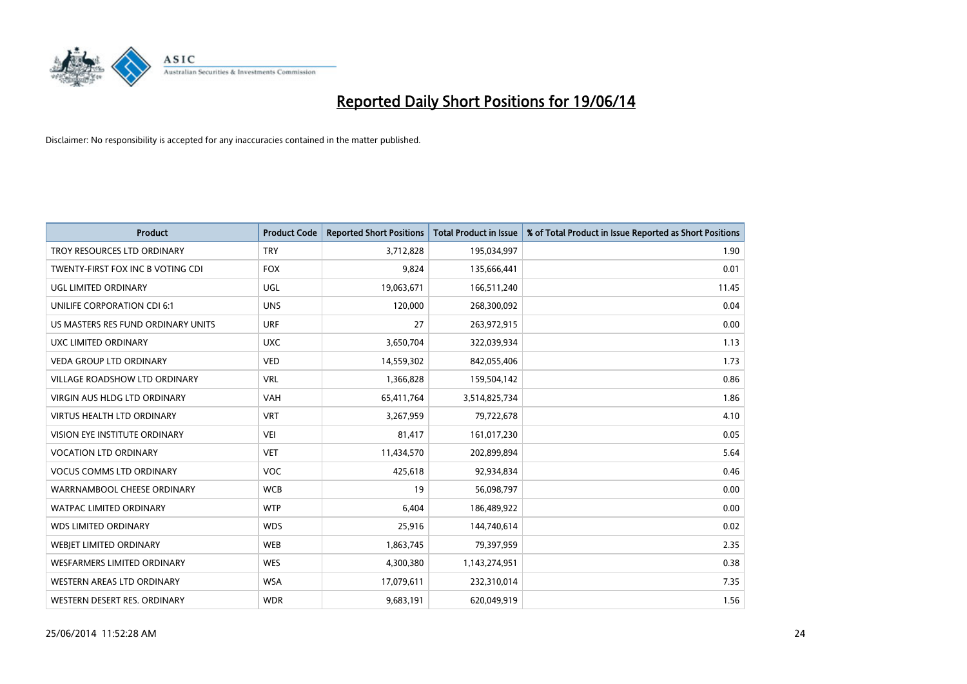

| <b>Product</b>                     | <b>Product Code</b> | <b>Reported Short Positions</b> | <b>Total Product in Issue</b> | % of Total Product in Issue Reported as Short Positions |
|------------------------------------|---------------------|---------------------------------|-------------------------------|---------------------------------------------------------|
| TROY RESOURCES LTD ORDINARY        | <b>TRY</b>          | 3,712,828                       | 195,034,997                   | 1.90                                                    |
| TWENTY-FIRST FOX INC B VOTING CDI  | <b>FOX</b>          | 9,824                           | 135,666,441                   | 0.01                                                    |
| UGL LIMITED ORDINARY               | UGL                 | 19,063,671                      | 166,511,240                   | 11.45                                                   |
| UNILIFE CORPORATION CDI 6:1        | <b>UNS</b>          | 120,000                         | 268,300,092                   | 0.04                                                    |
| US MASTERS RES FUND ORDINARY UNITS | <b>URF</b>          | 27                              | 263,972,915                   | 0.00                                                    |
| UXC LIMITED ORDINARY               | <b>UXC</b>          | 3,650,704                       | 322,039,934                   | 1.13                                                    |
| <b>VEDA GROUP LTD ORDINARY</b>     | <b>VED</b>          | 14,559,302                      | 842,055,406                   | 1.73                                                    |
| VILLAGE ROADSHOW LTD ORDINARY      | <b>VRL</b>          | 1,366,828                       | 159,504,142                   | 0.86                                                    |
| VIRGIN AUS HLDG LTD ORDINARY       | <b>VAH</b>          | 65,411,764                      | 3,514,825,734                 | 1.86                                                    |
| <b>VIRTUS HEALTH LTD ORDINARY</b>  | <b>VRT</b>          | 3,267,959                       | 79,722,678                    | 4.10                                                    |
| VISION EYE INSTITUTE ORDINARY      | <b>VEI</b>          | 81,417                          | 161,017,230                   | 0.05                                                    |
| <b>VOCATION LTD ORDINARY</b>       | <b>VET</b>          | 11,434,570                      | 202,899,894                   | 5.64                                                    |
| <b>VOCUS COMMS LTD ORDINARY</b>    | <b>VOC</b>          | 425,618                         | 92,934,834                    | 0.46                                                    |
| WARRNAMBOOL CHEESE ORDINARY        | <b>WCB</b>          | 19                              | 56,098,797                    | 0.00                                                    |
| <b>WATPAC LIMITED ORDINARY</b>     | <b>WTP</b>          | 6,404                           | 186,489,922                   | 0.00                                                    |
| <b>WDS LIMITED ORDINARY</b>        | <b>WDS</b>          | 25,916                          | 144,740,614                   | 0.02                                                    |
| WEBJET LIMITED ORDINARY            | <b>WEB</b>          | 1,863,745                       | 79,397,959                    | 2.35                                                    |
| <b>WESFARMERS LIMITED ORDINARY</b> | <b>WES</b>          | 4,300,380                       | 1,143,274,951                 | 0.38                                                    |
| WESTERN AREAS LTD ORDINARY         | <b>WSA</b>          | 17,079,611                      | 232,310,014                   | 7.35                                                    |
| WESTERN DESERT RES. ORDINARY       | <b>WDR</b>          | 9,683,191                       | 620,049,919                   | 1.56                                                    |